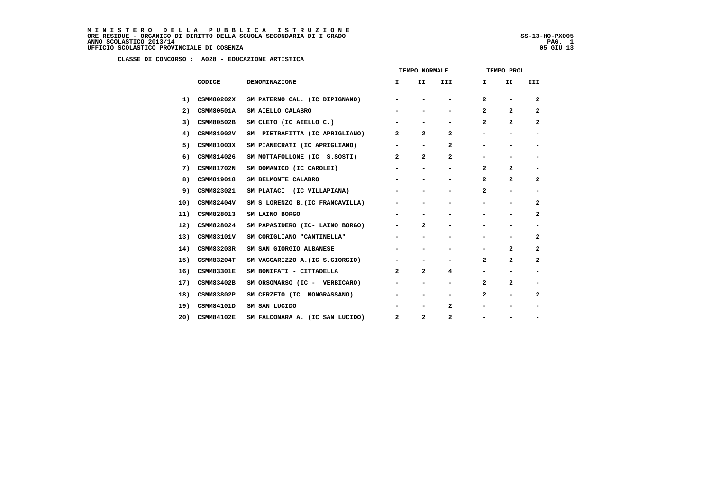|     |                   |                                  | TEMPO NORMALE                |                              |                          | TEMPO PROL.    |                              |                          |  |
|-----|-------------------|----------------------------------|------------------------------|------------------------------|--------------------------|----------------|------------------------------|--------------------------|--|
|     | CODICE            | DENOMINAZIONE                    | I.                           | II.                          | III                      | I.             | II                           | III                      |  |
| 1)  | CSMM80202X        | SM PATERNO CAL. (IC DIPIGNANO)   | -                            | $\qquad \qquad \blacksquare$ | -                        | $\mathbf{2}$   | -                            | $\mathbf{2}$             |  |
| 2)  | CSMM80501A        | SM AIELLO CALABRO                |                              |                              | $\overline{\phantom{0}}$ | $\overline{a}$ | $\overline{a}$               | $\overline{a}$           |  |
| 3)  | CSMM80502B        | SM CLETO (IC AIELLO C.)          |                              |                              | -                        | 2              | $\overline{a}$               | $\overline{\mathbf{2}}$  |  |
| 4)  | CSMM81002V        | SM PIETRAFITTA (IC APRIGLIANO)   | $\mathbf{2}$                 | $\overline{a}$               | $\mathbf{2}$             | Ξ.             | $\qquad \qquad \blacksquare$ | $\overline{\phantom{a}}$ |  |
| 5)  | CSMM81003X        | SM PIANECRATI (IC APRIGLIANO)    | $\overline{\phantom{a}}$     | $\qquad \qquad \blacksquare$ | $\mathbf{2}$             |                |                              | -                        |  |
| 6)  | CSMM814026        | SM MOTTAFOLLONE (IC S.SOSTI)     | $\overline{a}$               | $\mathbf{2}$                 | 2                        | -              | -                            | -                        |  |
| 7)  | <b>CSMM81702N</b> | SM DOMANICO (IC CAROLEI)         |                              |                              |                          | $\overline{a}$ | $\overline{2}$               |                          |  |
| 8)  | CSMM819018        | SM BELMONTE CALABRO              | -                            |                              | -                        | $\mathbf{2}$   | $\overline{2}$               | $\mathbf{2}$             |  |
| 9)  | CSMM823021        | SM PLATACI (IC VILLAPIANA)       |                              | -                            | -                        | 2              | -                            | $\overline{\phantom{a}}$ |  |
| 10) | <b>CSMM82404V</b> | SM S.LORENZO B. (IC FRANCAVILLA) |                              |                              |                          |                |                              | $\mathbf{2}$             |  |
| 11) | CSMM828013        | SM LAINO BORGO                   | $\qquad \qquad \blacksquare$ |                              |                          |                |                              | $\mathbf{2}$             |  |
| 12) | CSMM828024        | SM PAPASIDERO (IC- LAINO BORGO)  | Ξ.                           | $\overline{a}$               | $\overline{\phantom{0}}$ | -              | -                            | -                        |  |
| 13) | CSMM83101V        | SM CORIGLIANO "CANTINELLA"       |                              |                              |                          |                |                              | $\mathbf{2}$             |  |
| 14) | CSMM83203R        | SM SAN GIORGIO ALBANESE          | -                            | $\qquad \qquad \blacksquare$ | -                        | -              | $\overline{2}$               | $\mathbf{2}$             |  |
| 15) | <b>CSMM83204T</b> | SM VACCARIZZO A. (IC S.GIORGIO)  | $\overline{\phantom{a}}$     | $\qquad \qquad \blacksquare$ | -                        | $\mathbf{2}$   | $\overline{2}$               | $\overline{a}$           |  |
| 16) | <b>CSMM83301E</b> | SM BONIFATI - CITTADELLA         | $\overline{2}$               | $\overline{a}$               | 4                        |                |                              | $\overline{\phantom{a}}$ |  |
| 17) | CSMM83402B        | SM ORSOMARSO (IC - VERBICARO)    | Ξ.                           | $\qquad \qquad \blacksquare$ | -                        | 2              | $\mathbf{2}$                 | $\overline{\phantom{a}}$ |  |
| 18) | CSMM83802P        | SM CERZETO (IC MONGRASSANO)      | $\overline{\phantom{a}}$     | $\qquad \qquad \blacksquare$ | -                        | 2              | -                            | $\mathbf{2}$             |  |
| 19) | CSMM84101D        | SM SAN LUCIDO                    |                              | $\qquad \qquad \blacksquare$ | $\mathbf{2}$             |                |                              | $\overline{\phantom{a}}$ |  |
| 20) | <b>CSMM84102E</b> | SM FALCONARA A. (IC SAN LUCIDO)  | $\overline{a}$               | $\overline{a}$               | $\mathbf{2}$             | -              | $\overline{\phantom{0}}$     | $\overline{\phantom{a}}$ |  |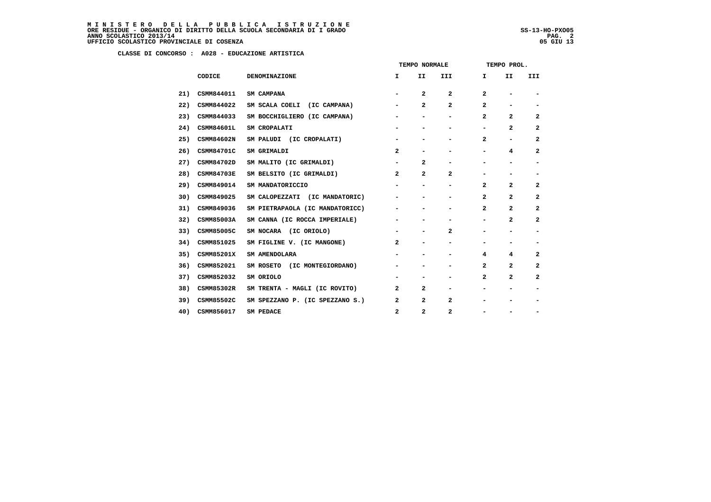MINISTERO DELLA PUBBLICA ISTRUZIONE<br>ORERESIDUE – ORGANICO DI DIRITTO DELLA SCUOLA SECONDARIA DI IGRADO<br>ANNO SCOLASTICO 2013/14 PAG. 2<br>UFFICIO SCOLASTICO PROVINCIALE DI COSENZA

j

|     |                   |                                 | TEMPO NORMALE  |                          |                          | TEMPO PROL.    |                |                          |  |
|-----|-------------------|---------------------------------|----------------|--------------------------|--------------------------|----------------|----------------|--------------------------|--|
|     | CODICE            | <b>DENOMINAZIONE</b>            | I.             | II                       | III                      | I.             | II             | III                      |  |
| 21) | CSMM844011        | <b>SM CAMPANA</b>               |                | $\mathbf{2}$             | $\mathbf{2}$             | $\mathbf{2}$   |                |                          |  |
| 22) | CSMM844022        | SM SCALA COELI (IC CAMPANA)     | $\blacksquare$ | $\mathbf{2}$             | $\overline{a}$           | 2              |                |                          |  |
| 23) | CSMM844033        | SM BOCCHIGLIERO (IC CAMPANA)    |                | -                        | $\overline{\phantom{0}}$ | $\mathbf{2}$   | $\mathbf{2}$   | $\overline{2}$           |  |
| 24) | CSMM84601L        | SM CROPALATI                    |                |                          |                          |                | 2              | $\overline{\mathbf{2}}$  |  |
| 25) | CSMM84602N        | SM PALUDI (IC CROPALATI)        |                | $\overline{\phantom{0}}$ | -                        | $\mathbf{2}$   | -              | $\overline{\mathbf{2}}$  |  |
| 26) | CSMM84701C        | SM GRIMALDI                     | $\overline{a}$ | $\overline{\phantom{0}}$ | $\overline{\phantom{0}}$ | -              | 4              | $\overline{2}$           |  |
| 27) | CSMM84702D        | SM MALITO (IC GRIMALDI)         |                | $\mathbf{2}$             |                          |                |                |                          |  |
| 28) | <b>CSMM84703E</b> | SM BELSITO (IC GRIMALDI)        | $\overline{a}$ | $\mathbf{2}$             | $\mathbf{2}$             | -              |                | $\overline{\phantom{0}}$ |  |
| 29) | CSMM849014        | SM MANDATORICCIO                |                | $\overline{\phantom{0}}$ | $\overline{\phantom{0}}$ | $\overline{a}$ | $\overline{a}$ | $\overline{2}$           |  |
| 30) | CSMM849025        | SM CALOPEZZATI (IC MANDATORIC)  |                |                          |                          | $\mathbf{2}$   | $\mathbf{2}$   | $\mathbf{2}$             |  |
| 31) | CSMM849036        | SM PIETRAPAOLA (IC MANDATORICC) |                |                          | -                        | $\mathbf{2}$   | 2              | $\overline{2}$           |  |
| 32) | CSMM85003A        | SM CANNA (IC ROCCA IMPERIALE)   |                |                          | $\overline{\phantom{0}}$ | -              | $\mathbf{2}$   | $\overline{2}$           |  |
| 33) | CSMM85005C        | SM NOCARA (IC ORIOLO)           |                |                          | $\mathbf{2}$             |                |                |                          |  |
| 34) | CSMM851025        | SM FIGLINE V. (IC MANGONE)      | 2              |                          | -                        |                |                | -                        |  |
| 35) | <b>CSMM85201X</b> | SM AMENDOLARA                   |                | $\overline{\phantom{0}}$ | $\overline{\phantom{0}}$ | 4              | 4              | $\overline{2}$           |  |
| 36) | CSMM852021        | SM ROSETO (IC MONTEGIORDANO)    |                |                          |                          | 2              | 2              | 2                        |  |
| 37) | CSMM852032        | SM ORIOLO                       |                |                          |                          | $\mathbf{2}$   | $\overline{a}$ | $\overline{2}$           |  |
| 38) | CSMM85302R        | SM TRENTA - MAGLI (IC ROVITO)   | $\overline{a}$ | $\mathbf{2}$             | $\overline{\phantom{0}}$ |                | -              | $\overline{\phantom{a}}$ |  |
| 39) | CSMM85502C        | SM SPEZZANO P. (IC SPEZZANO S.) | 2              | $\mathbf{2}$             | $\overline{a}$           |                |                |                          |  |
| 40) | CSMM856017        | SM PEDACE                       | $\mathbf{2}$   | $\mathbf{2}$             | $\mathbf{2}$             |                |                |                          |  |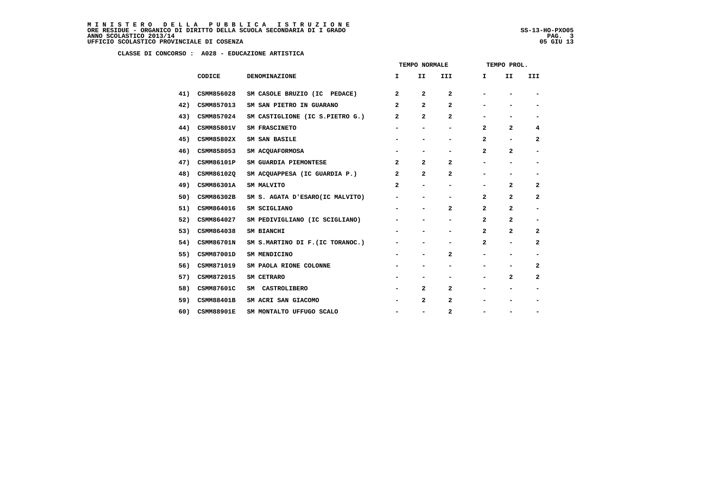|     |                   |                                  | TEMPO NORMALE                |                              |                         | TEMPO PROL.    |                              |                          |
|-----|-------------------|----------------------------------|------------------------------|------------------------------|-------------------------|----------------|------------------------------|--------------------------|
|     | CODICE            | <b>DENOMINAZIONE</b>             | I.                           | II                           | III                     | I.             | II                           | III                      |
| 41) | CSMM856028        | SM CASOLE BRUZIO (IC PEDACE)     | $\overline{a}$               | $\mathbf{2}$                 | 2                       |                |                              |                          |
| 42) | CSMM857013        | SM SAN PIETRO IN GUARANO         | $\mathbf{2}$                 | $\mathbf{z}$                 | 2                       |                |                              |                          |
| 43) | CSMM857024        | SM CASTIGLIONE (IC S.PIETRO G.)  | $\overline{a}$               | 2                            | $\mathbf{2}$            | Ξ.             | $\overline{\phantom{0}}$     | $\overline{\phantom{0}}$ |
| 44) | CSMM85801V        | SM FRASCINETO                    | $\qquad \qquad \blacksquare$ | -                            | -                       | 2              | $\mathbf{2}$                 | 4                        |
| 45) | CSMM85802X        | SM SAN BASILE                    | $\qquad \qquad \blacksquare$ | -                            | -                       | 2              | $\blacksquare$               | 2                        |
| 46) | CSMM858053        | SM ACQUAFORMOSA                  | $\qquad \qquad \blacksquare$ | $\qquad \qquad \blacksquare$ | -                       | $\mathbf{z}$   | $\overline{a}$               | $\overline{\phantom{a}}$ |
| 47) | CSMM86101P        | SM GUARDIA PIEMONTESE            | $\mathbf{2}$                 | $\mathbf{z}$                 | 2                       | Ξ.             | $\overline{\phantom{0}}$     | $\overline{\phantom{a}}$ |
| 48) | CSMM86102Q        | SM ACQUAPPESA (IC GUARDIA P.)    | $\mathbf{2}$                 | $\mathbf{2}$                 | $\overline{\mathbf{2}}$ | Ξ.             | $\qquad \qquad \blacksquare$ | $\blacksquare$           |
| 49) | CSMM86301A        | SM MALVITO                       | $\mathbf{2}$                 | $\overline{\phantom{0}}$     | -                       |                | $\mathbf{2}$                 | 2                        |
| 50) | CSMM86302B        | SM S. AGATA D'ESARO(IC MALVITO)  | -                            | -                            | -                       | 2              | 2                            | 2                        |
| 51) | CSMM864016        | SM SCIGLIANO                     | -                            | $\qquad \qquad \blacksquare$ | 2                       | 2              | $\mathbf{2}$                 | $\overline{\phantom{a}}$ |
| 52) | CSMM864027        | SM PEDIVIGLIANO (IC SCIGLIANO)   |                              | -                            | -                       | 2              | 2                            | $\overline{\phantom{a}}$ |
| 53) | CSMM864038        | SM BIANCHI                       | $\qquad \qquad \blacksquare$ |                              | -                       | $\overline{a}$ | $\overline{2}$               | 2                        |
| 54) | CSMM86701N        | SM S.MARTINO DI F. (IC TORANOC.) | $\qquad \qquad \blacksquare$ | -                            | -                       | 2              | $\qquad \qquad \blacksquare$ | 2                        |
| 55) | CSMM87001D        | SM MENDICINO                     | -                            | $\qquad \qquad \blacksquare$ | 2                       | Ξ.             | $\blacksquare$               | $\overline{\phantom{a}}$ |
| 56) | CSMM871019        | SM PAOLA RIONE COLONNE           |                              | -                            | -                       |                |                              | 2                        |
| 57) | CSMM872015        | SM CETRARO                       | $\qquad \qquad \blacksquare$ | -                            | -                       | -              | 2                            | 2                        |
| 58) | <b>CSMM87601C</b> | SM CASTROLIBERO                  | -                            | 2                            | $\mathbf{2}$            | -              | $\blacksquare$               | -                        |
| 59) | <b>CSMM88401B</b> | SM ACRI SAN GIACOMO              |                              | 2                            | 2                       |                |                              | -                        |
| 60) | <b>CSMM88901E</b> | SM MONTALTO UFFUGO SCALO         | $\qquad \qquad \blacksquare$ | $\qquad \qquad \blacksquare$ | 2                       |                |                              | -                        |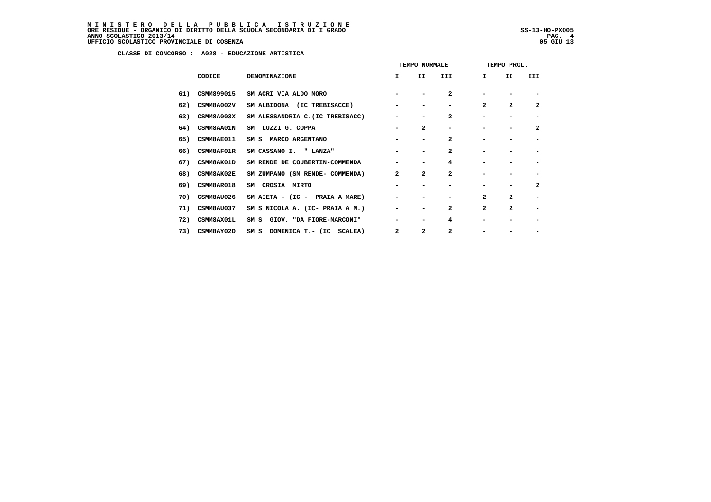MINISTERO DELLA PUBBLICA ISTRUZIONE<br>ORERESIDUE – ORGANICO DI DIRITTO DELLA SCUOLA SECONDARIA DI IGRADO<br>ANNO SCOLASTICO 2013/14 PAG. 4<br>UFFICIO SCOLASTICO PROVINCIALE DI COSENZA (1998)

j

|     |                   |                                  | TEMPO NORMALE |                          |                | TEMPO PROL.    |                |                |  |  |
|-----|-------------------|----------------------------------|---------------|--------------------------|----------------|----------------|----------------|----------------|--|--|
|     | CODICE            | <b>DENOMINAZIONE</b>             | I.            | II.                      | III            | I.             | II.            | III            |  |  |
| 61) | CSMM899015        | SM ACRI VIA ALDO MORO            |               |                          | $\mathbf{2}$   |                |                |                |  |  |
| 62) | CSMM8A002V        | SM ALBIDONA (IC TREBISACCE)      |               |                          |                | $\overline{2}$ | $\overline{2}$ | $\mathbf{2}$   |  |  |
| 63) | CSMM8A003X        | SM ALESSANDRIA C. (IC TREBISACC) |               |                          | $\overline{a}$ |                |                |                |  |  |
| 64) | <b>CSMM8AA01N</b> | SM LUZZI G. COPPA                |               | $\overline{a}$           |                |                |                | $\overline{a}$ |  |  |
| 65) | CSMM8AE011        | SM S. MARCO ARGENTANO            |               |                          | $\overline{a}$ |                |                |                |  |  |
| 66) | CSMM8AF01R        | SM CASSANO I. " LANZA"           |               |                          | $\overline{a}$ |                |                |                |  |  |
| 67) | CSMM8AK01D        | SM RENDE DE COUBERTIN-COMMENDA   |               |                          | 4              |                |                |                |  |  |
| 68) | <b>CSMM8AK02E</b> | SM ZUMPANO (SM RENDE- COMMENDA)  | $\mathbf{2}$  | $\mathbf{2}$             | $\mathbf{2}$   |                |                |                |  |  |
| 69) | CSMM8AR018        | CROSIA MIRTO<br>SM               |               | $\overline{\phantom{0}}$ |                |                |                | $\overline{a}$ |  |  |
| 70) | <b>CSMM8AU026</b> | SM AIETA - (IC - PRAIA A MARE)   |               |                          |                | $\mathbf{2}$   | $\mathbf{2}$   |                |  |  |
| 71) | CSMM8AU037        | SM S.NICOLA A. (IC- PRAIA A M.)  |               | $\overline{\phantom{0}}$ | $\overline{a}$ | $\overline{a}$ | $\overline{a}$ |                |  |  |
| 72) | CSMM8AX01L        | SM S. GIOV. "DA FIORE-MARCONI"   |               | $\overline{\phantom{0}}$ | 4              |                |                |                |  |  |
| 73) | CSMM8AY02D        | SM S. DOMENICA T.- (IC SCALEA)   | $\mathbf{2}$  | 2                        | 2              |                |                |                |  |  |
|     |                   |                                  |               |                          |                |                |                |                |  |  |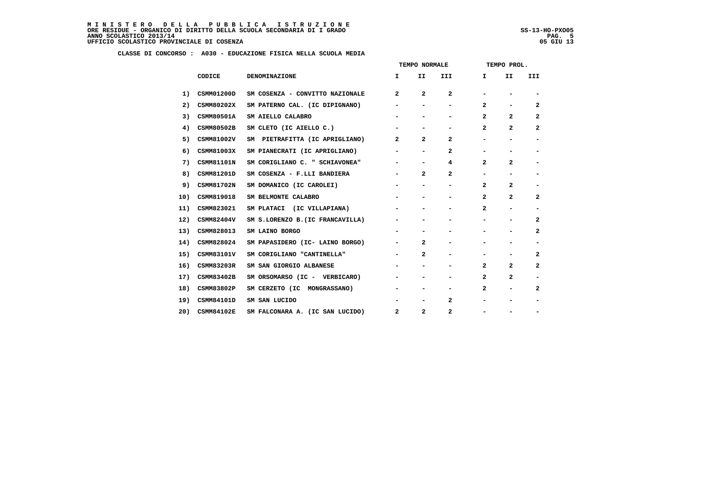|     |                   |                                  | TEMPO NORMALE            |                          |                | TEMPO PROL.    |                          |                              |  |
|-----|-------------------|----------------------------------|--------------------------|--------------------------|----------------|----------------|--------------------------|------------------------------|--|
|     | CODICE            | <b>DENOMINAZIONE</b>             | I.                       | II.                      | <b>III</b>     | Ι.             | II.                      | <b>III</b>                   |  |
| 1)  | CSMM01200D        | SM COSENZA - CONVITTO NAZIONALE  | $\overline{a}$           | 2                        | $\mathbf{2}$   |                |                          |                              |  |
| 2)  | CSMM80202X        | SM PATERNO CAL. (IC DIPIGNANO)   | $\overline{\phantom{a}}$ | $\blacksquare$           | $\blacksquare$ | $\mathbf{2}$   | $\overline{\phantom{0}}$ | $\mathbf{2}$                 |  |
| 3)  | CSMM80501A        | SM AIELLO CALABRO                |                          |                          | -              | 2              | $\overline{a}$           | $\mathbf{2}$                 |  |
| 4)  | CSMM80502B        | SM CLETO (IC AIELLO C.)          |                          |                          |                | 2              | $\mathbf{2}$             | 2                            |  |
| 5)  | CSMM81002V        | SM PIETRAFITTA (IC APRIGLIANO)   | $\mathbf{2}$             | $\overline{2}$           | 2              |                |                          | -                            |  |
| 6)  | CSMM81003X        | SM PIANECRATI (IC APRIGLIANO)    |                          | $\blacksquare$           | 2              |                |                          |                              |  |
| 7)  | CSMM81101N        | SM CORIGLIANO C. " SCHIAVONEA"   |                          |                          | 4              | $\mathbf{2}$   | 2                        |                              |  |
| 8)  | CSMM81201D        | SM COSENZA - F.LLI BANDIERA      | $\overline{\phantom{a}}$ | $\overline{2}$           | $\mathbf{2}$   | $\blacksquare$ |                          | -                            |  |
| 9)  | CSMM81702N        | SM DOMANICO (IC CAROLEI)         |                          | $\overline{\phantom{a}}$ | -              | $\mathbf{2}$   | $\overline{a}$           | -                            |  |
| 10) | CSMM819018        | SM BELMONTE CALABRO              |                          |                          | -              | $\mathbf{2}$   | $\mathbf{2}$             | $\overline{a}$               |  |
| 11) | CSMM823021        | SM PLATACI (IC VILLAPIANA)       |                          |                          |                | $\mathbf{2}$   |                          |                              |  |
| 12) | <b>CSMM82404V</b> | SM S.LORENZO B. (IC FRANCAVILLA) | -                        |                          |                |                |                          | 2                            |  |
| 13) | CSMM828013        | SM LAINO BORGO                   |                          |                          |                |                |                          | $\mathbf{2}$                 |  |
| 14) | CSMM828024        | SM PAPASIDERO (IC- LAINO BORGO)  | $\overline{\phantom{a}}$ | $\overline{2}$           |                |                |                          |                              |  |
| 15) | CSMM83101V        | SM CORIGLIANO "CANTINELLA"       | $\overline{\phantom{a}}$ | $\mathbf{2}$             | -              |                |                          | 2                            |  |
| 16) | <b>CSMM83203R</b> | SM SAN GIORGIO ALBANESE          |                          | -                        | -              | $\mathbf{2}$   | $\mathbf{2}$             | $\mathbf{2}$                 |  |
| 17) | CSMM83402B        | SM ORSOMARSO (IC - VERBICARO)    | $\blacksquare$           | -                        | -              | $\mathbf{2}$   | $\overline{2}$           |                              |  |
| 18) | CSMM83802P        | SM CERZETO (IC MONGRASSANO)      | $\overline{\phantom{a}}$ | -                        | -              | $\mathbf{2}$   |                          | 2                            |  |
| 19) | CSMM84101D        | SM SAN LUCIDO                    |                          | -                        | 2              |                |                          | $\qquad \qquad \blacksquare$ |  |
| 20) | <b>CSMM84102E</b> | SM FALCONARA A. (IC SAN LUCIDO)  | $\mathbf{2}$             | $\overline{2}$           | $\overline{a}$ |                |                          |                              |  |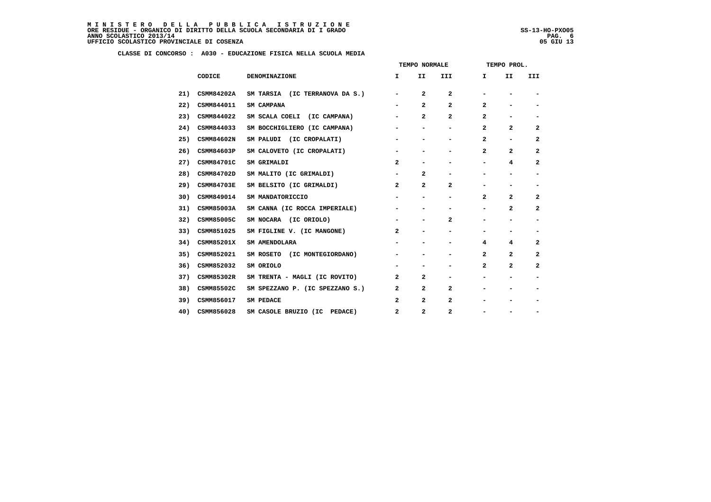ļ

|     |                   |                                 | TEMPO NORMALE            |                          |                          | TEMPO PROL.  |                |                          |
|-----|-------------------|---------------------------------|--------------------------|--------------------------|--------------------------|--------------|----------------|--------------------------|
|     | CODICE            | <b>DENOMINAZIONE</b>            | I.                       | II.                      | III                      | $\mathbf{I}$ | II             | III                      |
| 21) | <b>CSMM84202A</b> | SM TARSIA (IC TERRANOVA DA S.)  | $\overline{\phantom{a}}$ | 2                        | 2                        | -            |                |                          |
| 22) | CSMM844011        | SM CAMPANA                      |                          | $\mathbf{2}$             | $\overline{a}$           | 2            | -              | $\overline{\phantom{a}}$ |
| 23) | CSMM844022        | SM SCALA COELI (IC CAMPANA)     | -                        | 2                        | 2                        | 2            | -              | $\overline{\phantom{a}}$ |
| 24) | CSMM844033        | SM BOCCHIGLIERO (IC CAMPANA)    | -                        | -                        | -                        | 2            | 2              | $\mathbf{2}$             |
| 25) | CSMM84602N        | SM PALUDI (IC CROPALATI)        | $\overline{\phantom{0}}$ | -                        | $\overline{\phantom{0}}$ | 2            | -              | 2                        |
| 26) | CSMM84603P        | SM CALOVETO (IC CROPALATI)      | -                        | -                        | -                        | 2            | $\mathbf{2}$   | $\overline{a}$           |
| 27) | <b>CSMM84701C</b> | SM GRIMALDI                     | $\overline{a}$           | -                        |                          | -            | 4              | $\mathbf{2}$             |
| 28) | CSMM84702D        | SM MALITO (IC GRIMALDI)         | $\overline{\phantom{a}}$ | 2                        | $\overline{\phantom{0}}$ | -            |                | -                        |
| 29) | <b>CSMM84703E</b> | SM BELSITO (IC GRIMALDI)        | $\mathbf{2}$             | 2                        | 2                        | -            | -              | $\overline{\phantom{a}}$ |
| 30) | CSMM849014        | SM MANDATORICCIO                |                          | $\overline{\phantom{0}}$ |                          | $\mathbf{z}$ | $\mathbf{2}$   | $\mathbf{2}$             |
| 31) | CSMM85003A        | SM CANNA (IC ROCCA IMPERIALE)   | -                        | -                        |                          | -            | $\mathbf{2}$   | $\overline{a}$           |
| 32) | CSMM85005C        | SM NOCARA (IC ORIOLO)           | $\overline{\phantom{a}}$ | -                        | 2                        | -            | -              | $\overline{\phantom{a}}$ |
| 33) | CSMM851025        | SM FIGLINE V. (IC MANGONE)      | $\mathbf{2}$             |                          |                          |              |                |                          |
| 34) | <b>CSMM85201X</b> | SM AMENDOLARA                   | -                        | $\overline{\phantom{0}}$ | $\overline{\phantom{0}}$ | 4            | 4              | 2                        |
| 35) | CSMM852021        | SM ROSETO (IC MONTEGIORDANO)    | -                        | $\overline{\phantom{0}}$ | $\overline{\phantom{0}}$ | 2            | $\overline{a}$ | $\mathbf{2}$             |
| 36) | CSMM852032        | SM ORIOLO                       |                          |                          |                          | 2            | 2              | $\overline{a}$           |
| 37) | CSMM85302R        | SM TRENTA - MAGLI (IC ROVITO)   | 2                        | 2                        | $\overline{\phantom{0}}$ | -            | -              | $\overline{\phantom{a}}$ |
| 38) | CSMM85502C        | SM SPEZZANO P. (IC SPEZZANO S.) | $\mathbf{2}$             | 2                        | $\overline{a}$           | -            | -              | $\overline{\phantom{0}}$ |
| 39) | CSMM856017        | SM PEDACE                       | $\overline{a}$           | 2                        | 2                        |              |                | -                        |
| 40) | CSMM856028        | SM CASOLE BRUZIO (IC PEDACE)    | $\mathbf{2}$             | $\mathbf{2}$             | 2                        | -            |                | -                        |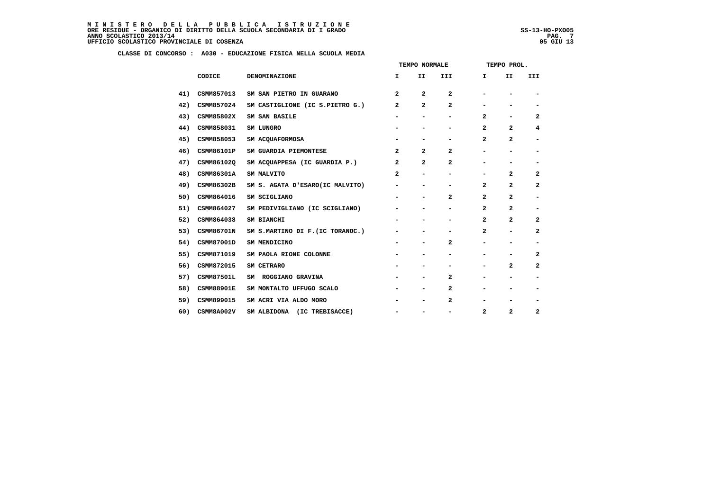|     |                   |                                  | TEMPO NORMALE            |                          |                          | TEMPO PROL.              |                          |                          |
|-----|-------------------|----------------------------------|--------------------------|--------------------------|--------------------------|--------------------------|--------------------------|--------------------------|
|     | CODICE            | DENOMINAZIONE                    | I.                       | II                       | III                      | $\mathbf{I}$             | II                       | III                      |
| 41) | CSMM857013        | SM SAN PIETRO IN GUARANO         | $\overline{a}$           | 2                        | $\overline{a}$           |                          |                          | $\overline{\phantom{a}}$ |
| 42) | CSMM857024        | SM CASTIGLIONE (IC S.PIETRO G.)  | $\overline{a}$           | 2                        | $\mathbf{2}$             | $\overline{\phantom{0}}$ | $\overline{\phantom{0}}$ | $\overline{\phantom{a}}$ |
| 43) | CSMM85802X        | SM SAN BASILE                    |                          | $\overline{\phantom{a}}$ |                          | 2                        | -                        | 2                        |
| 44) | CSMM858031        | SM LUNGRO                        | $\overline{\phantom{a}}$ |                          |                          | $\overline{a}$           | $\overline{a}$           | 4                        |
| 45) | CSMM858053        | SM ACQUAFORMOSA                  | $\overline{\phantom{a}}$ | $\overline{\phantom{a}}$ | $\overline{\phantom{0}}$ | $\mathbf{2}$             | 2                        | $\overline{\phantom{a}}$ |
| 46) | CSMM86101P        | SM GUARDIA PIEMONTESE            | $\overline{a}$           | 2                        | $\mathbf{2}$             |                          | $\overline{\phantom{0}}$ |                          |
| 47) | CSMM86102Q        | SM ACQUAPPESA (IC GUARDIA P.)    | $\overline{a}$           | 2                        | $\mathbf{2}$             | -                        | $\overline{\phantom{a}}$ | $\overline{\phantom{a}}$ |
| 48) | CSMM86301A        | SM MALVITO                       | $\mathbf{2}$             | $\overline{\phantom{a}}$ | -                        | -                        | $\overline{a}$           | $\mathbf{2}$             |
| 49) | CSMM86302B        | SM S. AGATA D'ESARO(IC MALVITO)  | $\overline{\phantom{a}}$ | $\overline{\phantom{a}}$ | -                        | $\mathbf{2}$             | $\overline{a}$           | $\mathbf{2}$             |
| 50) | CSMM864016        | SM SCIGLIANO                     | $\overline{\phantom{a}}$ | $\overline{\phantom{a}}$ | $\mathbf{2}$             | $\overline{a}$           | 2                        | $\overline{\phantom{a}}$ |
| 51) | CSMM864027        | SM PEDIVIGLIANO (IC SCIGLIANO)   |                          |                          |                          | $\mathbf{2}$             | $\overline{a}$           | $\overline{\phantom{a}}$ |
| 52) | CSMM864038        | SM BIANCHI                       | $\overline{\phantom{a}}$ | $\overline{\phantom{a}}$ | -                        | $\mathbf{2}$             | 2                        | 2                        |
| 53) | <b>CSMM86701N</b> | SM S.MARTINO DI F. (IC TORANOC.) |                          | $\overline{\phantom{a}}$ | $\overline{\phantom{0}}$ | $\mathbf{2}$             | $\blacksquare$           | $\mathbf{2}$             |
| 54) | CSMM87001D        | SM MENDICINO                     | $\overline{\phantom{a}}$ | $\overline{\phantom{a}}$ | $\mathbf{2}$             | -                        | $\overline{\phantom{a}}$ | $\overline{\phantom{a}}$ |
| 55) | CSMM871019        | SM PAOLA RIONE COLONNE           |                          | $\overline{\phantom{a}}$ | -                        | -                        | -                        | 2                        |
| 56) | CSMM872015        | SM CETRARO                       |                          | $\overline{\phantom{0}}$ |                          | $\overline{\phantom{0}}$ | $\mathbf{2}$             | $\mathbf{2}$             |
| 57) | <b>CSMM87501L</b> | SM ROGGIANO GRAVINA              |                          | $\overline{\phantom{a}}$ | $\mathbf{2}$             |                          | $\overline{\phantom{0}}$ |                          |
| 58) | <b>CSMM88901E</b> | SM MONTALTO UFFUGO SCALO         |                          | $\overline{\phantom{a}}$ | $\mathbf{2}$             | $\overline{\phantom{0}}$ | $\overline{\phantom{0}}$ | $\overline{\phantom{a}}$ |
| 59) | CSMM899015        | SM ACRI VIA ALDO MORO            | $\overline{\phantom{a}}$ | $\overline{\phantom{a}}$ | $\mathbf{2}$             | -                        | $\overline{\phantom{a}}$ | $\overline{\phantom{a}}$ |
| 60) | CSMM8A002V        | SM ALBIDONA (IC TREBISACCE)      | $\overline{\phantom{a}}$ |                          | -                        | $\mathbf{2}$             | $\overline{a}$           | $\mathbf{2}$             |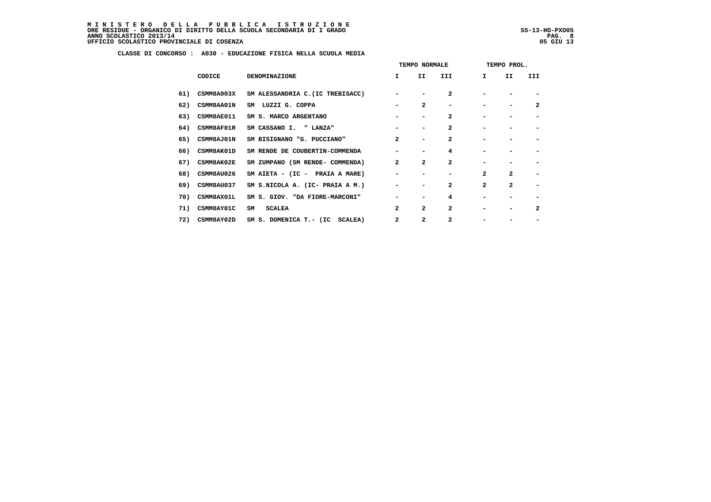|     |                   |                                  | TEMPO NORMALE            |                          |                          | TEMPO PROL.    |                |                          |  |  |
|-----|-------------------|----------------------------------|--------------------------|--------------------------|--------------------------|----------------|----------------|--------------------------|--|--|
|     | CODICE            | <b>DENOMINAZIONE</b>             | I.                       | II                       | III                      | $\mathbf{I}$   | II             | III                      |  |  |
| 61) | <b>CSMM8A003X</b> | SM ALESSANDRIA C. (IC TREBISACC) |                          |                          | $\overline{a}$           |                |                |                          |  |  |
| 62) | <b>CSMM8AA01N</b> | SM LUZZI G. COPPA                |                          | $\mathbf{2}$             | $\overline{\phantom{0}}$ |                |                | $\mathbf{2}$             |  |  |
| 63) | CSMM8AE011        | SM S. MARCO ARGENTANO            |                          | $\overline{\phantom{0}}$ | $\mathbf{2}$             |                |                |                          |  |  |
| 64) | CSMM8AF01R        | SM CASSANO I. " LANZA"           |                          |                          | $\mathbf{2}$             |                |                |                          |  |  |
| 65) | <b>CSMM8AJ01N</b> | SM BISIGNANO "G. PUCCIANO"       | $\overline{a}$           | $\overline{\phantom{0}}$ | $\mathbf{2}$             |                |                |                          |  |  |
| 66) | <b>CSMM8AK01D</b> | SM RENDE DE COUBERTIN-COMMENDA   |                          | -                        | 4                        |                |                |                          |  |  |
| 67) | <b>CSMM8AK02E</b> | SM ZUMPANO (SM RENDE- COMMENDA)  | $\mathbf{2}$             | $\overline{a}$           | $\overline{a}$           |                |                |                          |  |  |
| 68) | CSMM8AU026        | SM AIETA - (IC - PRAIA A MARE)   |                          |                          |                          | $\overline{a}$ | $\overline{a}$ | -                        |  |  |
| 69) | <b>CSMM8AU037</b> | SM S.NICOLA A. (IC- PRAIA A M.)  | $\overline{\phantom{0}}$ |                          | $\mathbf{2}$             | $\mathbf{2}$   | $\mathbf{2}$   | $\overline{\phantom{0}}$ |  |  |
| 70) | CSMM8AX01L        | SM S. GIOV. "DA FIORE-MARCONI"   |                          |                          | 4                        |                |                |                          |  |  |
| 71) | <b>CSMM8AY01C</b> | <b>SCALEA</b><br>SM              | $\mathbf{2}$             | $\mathbf{z}$             | $\overline{a}$           |                |                | $\mathbf{2}$             |  |  |
| 72) | <b>CSMM8AY02D</b> | SM S. DOMENICA T.- (IC SCALEA)   | $\overline{a}$           | 2                        | $\mathbf{2}$             |                |                |                          |  |  |
|     |                   |                                  |                          |                          |                          |                |                |                          |  |  |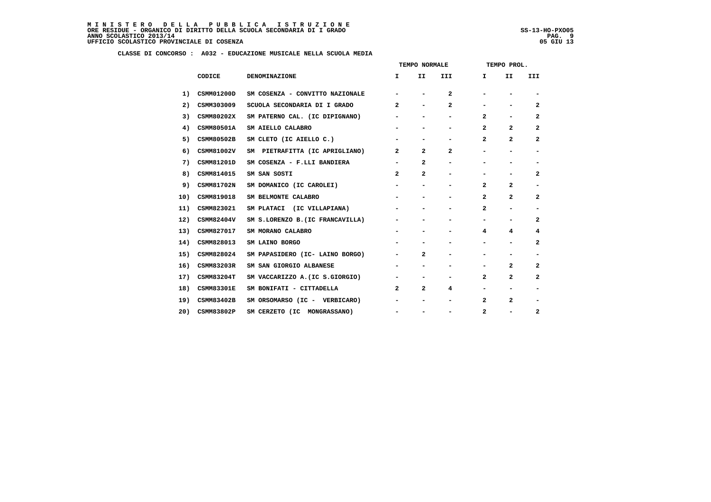|     |                   |                                  | TEMPO NORMALE            |                          |                              | TEMPO PROL.              |                          |                          |
|-----|-------------------|----------------------------------|--------------------------|--------------------------|------------------------------|--------------------------|--------------------------|--------------------------|
|     | CODICE            | DENOMINAZIONE                    | Ι.                       | II.                      | III                          | I.                       | II                       | III                      |
| 1)  | CSMM01200D        | SM COSENZA - CONVITTO NAZIONALE  |                          |                          | 2                            |                          |                          |                          |
| 2)  | CSMM303009        | SCUOLA SECONDARIA DI I GRADO     | 2                        | $\overline{\phantom{a}}$ | $\mathbf{2}$                 |                          |                          | $\mathbf{2}$             |
| 3)  | <b>CSMM80202X</b> | SM PATERNO CAL. (IC DIPIGNANO)   |                          |                          |                              | $\mathbf{2}$             |                          | 2                        |
| 4)  | CSMM80501A        | SM AIELLO CALABRO                | $\blacksquare$           | $\overline{\phantom{a}}$ | $\qquad \qquad \blacksquare$ | $\mathbf{2}$             | $\mathbf{2}$             | $\overline{a}$           |
| 5)  | CSMM80502B        | SM CLETO (IC AIELLO C.)          |                          |                          | $\overline{\phantom{0}}$     | $\mathbf{2}$             | $\mathbf{2}$             | $\overline{a}$           |
| 6)  | CSMM81002V        | SM PIETRAFITTA (IC APRIGLIANO)   | $\mathbf{2}$             | $\mathbf{2}$             | $\mathbf{2}$                 |                          |                          | -                        |
| 7)  | CSMM81201D        | SM COSENZA - F.LLI BANDIERA      | $\overline{\phantom{a}}$ | $\mathbf{2}$             | $\qquad \qquad \blacksquare$ |                          |                          |                          |
| 8)  | CSMM814015        | SM SAN SOSTI                     | $\mathbf{2}$             | $\overline{a}$           |                              |                          |                          | $\mathbf{2}$             |
| 9)  | CSMM81702N        | SM DOMANICO (IC CAROLEI)         | $\overline{\phantom{a}}$ | $\overline{\phantom{a}}$ | $\overline{\phantom{0}}$     | $\mathbf{2}$             | $\mathbf{2}$             | $\overline{\phantom{a}}$ |
| 10) | CSMM819018        | SM BELMONTE CALABRO              |                          |                          |                              | $\mathbf{2}$             | $\overline{a}$           | 2                        |
| 11) | CSMM823021        | SM PLATACI (IC VILLAPIANA)       |                          |                          |                              | $\mathbf{2}$             | $\overline{a}$           | $\overline{\phantom{0}}$ |
| 12) | <b>CSMM82404V</b> | SM S.LORENZO B. (IC FRANCAVILLA) | $\overline{\phantom{a}}$ | $\overline{\phantom{a}}$ | $\overline{\phantom{0}}$     | $\overline{\phantom{0}}$ | -                        | 2                        |
| 13) | CSMM827017        | SM MORANO CALABRO                |                          |                          |                              | 4                        | 4                        | 4                        |
| 14) | CSMM828013        | SM LAINO BORGO                   |                          |                          |                              |                          |                          | 2                        |
| 15) | CSMM828024        | SM PAPASIDERO (IC- LAINO BORGO)  | $\overline{\phantom{0}}$ | $\mathbf{2}$             | $\overline{\phantom{0}}$     |                          | $\overline{\phantom{0}}$ | $\overline{\phantom{0}}$ |
| 16) | CSMM83203R        | SM SAN GIORGIO ALBANESE          |                          |                          |                              |                          | $\mathbf{2}$             | $\overline{a}$           |
| 17) | CSMM83204T        | SM VACCARIZZO A. (IC S.GIORGIO)  | $\overline{\phantom{0}}$ | $\overline{\phantom{a}}$ | $\blacksquare$               | 2                        | $\mathbf{2}$             | $\overline{a}$           |
| 18) | <b>CSMM83301E</b> | SM BONIFATI - CITTADELLA         | $\mathbf{2}$             | $\overline{2}$           | 4                            |                          |                          | $\overline{\phantom{a}}$ |
| 19) | CSMM83402B        | SM ORSOMARSO (IC - VERBICARO)    | $\blacksquare$           | $\overline{\phantom{a}}$ | $\qquad \qquad \blacksquare$ | $\mathbf{2}$             | $\mathbf{2}$             | -                        |
| 20) | CSMM83802P        | SM CERZETO (IC MONGRASSANO)      | $\overline{\phantom{0}}$ | $\overline{\phantom{a}}$ | -                            | $\mathbf{2}$             | -                        | $\overline{a}$           |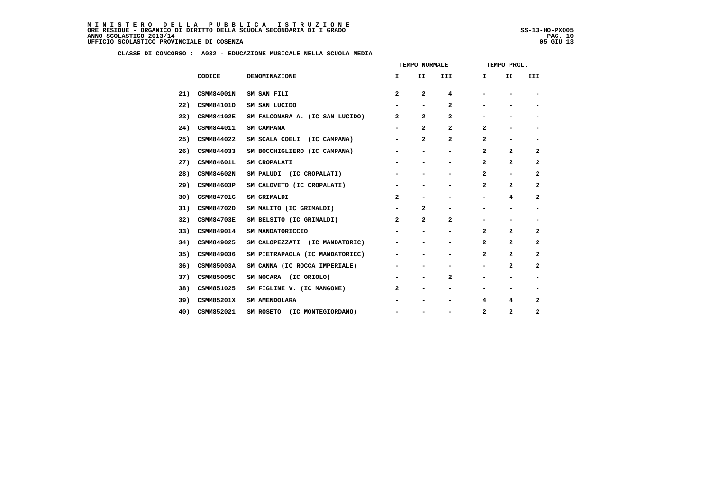ļ

|     |                   |                                 | TEMPO NORMALE                |                              |                          | TEMPO PROL.    |                              |                          |
|-----|-------------------|---------------------------------|------------------------------|------------------------------|--------------------------|----------------|------------------------------|--------------------------|
|     | CODICE            | DENOMINAZIONE                   | I.                           | II                           | III                      | I.             | II                           | III                      |
| 21) | <b>CSMM84001N</b> | SM SAN FILI                     | $\overline{a}$               | $\overline{a}$               | 4                        |                |                              | $\overline{\phantom{a}}$ |
| 22) | CSMM84101D        | SM SAN LUCIDO                   | -                            | -                            | $\mathbf{2}$             | -              | -                            | $\qquad \qquad$          |
| 23) | <b>CSMM84102E</b> | SM FALCONARA A. (IC SAN LUCIDO) | $\overline{a}$               | $\overline{a}$               | 2                        |                |                              | -                        |
| 24) | CSMM844011        | SM CAMPANA                      | $\overline{\phantom{a}}$     | $\mathbf{2}$                 | $\mathbf{2}$             | 2              | -                            | $\overline{\phantom{a}}$ |
| 25) | CSMM844022        | SM SCALA COELI (IC CAMPANA)     | $\overline{\phantom{a}}$     | $\overline{a}$               | $\mathbf{2}$             | $\mathbf{2}$   | -                            | -                        |
| 26) | CSMM844033        | SM BOCCHIGLIERO (IC CAMPANA)    | -                            | -                            | -                        | 2              | $\mathbf{2}$                 | $\mathbf{2}$             |
| 27) | <b>CSMM84601L</b> | SM CROPALATI                    | $\overline{\phantom{0}}$     | $\overline{\phantom{0}}$     | -                        | $\mathbf{2}$   | $\overline{2}$               | 2                        |
| 28) | <b>CSMM84602N</b> | SM PALUDI (IC CROPALATI)        | $\qquad \qquad \blacksquare$ |                              | $\overline{\phantom{0}}$ | $\overline{a}$ | $\overline{\phantom{a}}$     | $\overline{a}$           |
| 29) | CSMM84603P        | SM CALOVETO (IC CROPALATI)      | -                            | -                            | -                        | 2              | $\mathbf{2}$                 | 2                        |
| 30) | <b>CSMM84701C</b> | SM GRIMALDI                     | $\overline{a}$               | $\qquad \qquad \blacksquare$ | -                        | Ξ.             | 4                            | $\overline{a}$           |
| 31) | CSMM84702D        | SM MALITO (IC GRIMALDI)         | -                            | $\mathbf{2}$                 | -                        |                |                              | $\blacksquare$           |
| 32) | <b>CSMM84703E</b> | SM BELSITO (IC GRIMALDI)        | $\mathbf{2}$                 | $\overline{a}$               | $\mathbf{2}$             | -              | -                            | -                        |
| 33) | CSMM849014        | SM MANDATORICCIO                |                              | $\overline{\phantom{0}}$     | -                        | $\mathbf{2}$   | $\overline{2}$               | $\overline{a}$           |
| 34) | CSMM849025        | SM CALOPEZZATI (IC MANDATORIC)  |                              | -                            | -                        | $\mathbf{2}$   | $\mathbf{2}$                 | 2                        |
| 35) | CSMM849036        | SM PIETRAPAOLA (IC MANDATORICC) | -                            | $\overline{\phantom{0}}$     | -                        | $\mathbf{z}$   | $\overline{a}$               | $\overline{a}$           |
| 36) | CSMM85003A        | SM CANNA (IC ROCCA IMPERIALE)   | -                            | -                            | -                        | -              | $\mathbf{2}$                 | $\mathbf{2}$             |
| 37) | CSMM85005C        | SM NOCARA (IC ORIOLO)           | -                            | $\qquad \qquad \blacksquare$ | $\mathbf{2}$             |                |                              |                          |
| 38) | CSMM851025        | SM FIGLINE V. (IC MANGONE)      | $\overline{2}$               | $\qquad \qquad \blacksquare$ | -                        |                | $\qquad \qquad \blacksquare$ | $\overline{\phantom{a}}$ |
| 39) | <b>CSMM85201X</b> | SM AMENDOLARA                   | $\overline{\phantom{a}}$     | $\overline{\phantom{a}}$     | -                        | 4              | 4                            | 2                        |
| 40) | CSMM852021        | SM ROSETO (IC MONTEGIORDANO)    | $\qquad \qquad \blacksquare$ |                              | $\overline{\phantom{0}}$ | 2              | 2                            | 2                        |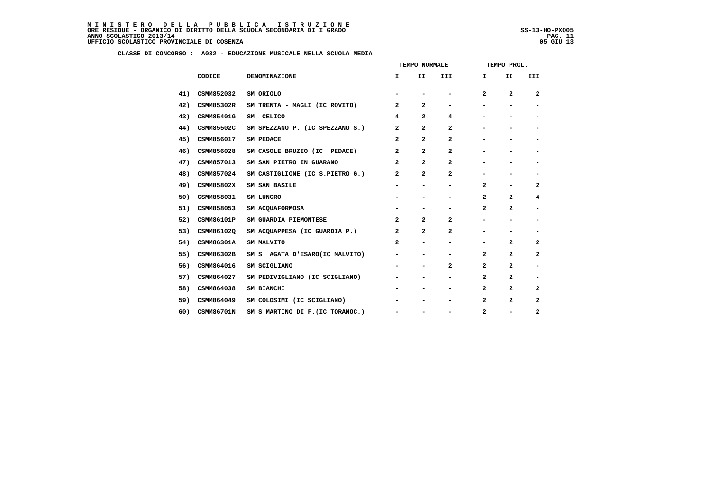|     |                   |                                  | TEMPO NORMALE            |                              |                          | TEMPO PROL.                  |                          |                          |
|-----|-------------------|----------------------------------|--------------------------|------------------------------|--------------------------|------------------------------|--------------------------|--------------------------|
|     | CODICE            | <b>DENOMINAZIONE</b>             | I.                       | II                           | III                      | I.                           | II                       | III                      |
| 41) | CSMM852032        | SM ORIOLO                        |                          |                              |                          | $\mathbf{2}$                 | $\mathbf{2}$             | $\overline{2}$           |
| 42) | CSMM85302R        | SM TRENTA - MAGLI (IC ROVITO)    | 2                        | $\mathbf{2}$                 | $\overline{\phantom{0}}$ |                              | $\overline{\phantom{0}}$ | -                        |
| 43) | CSMM85401G        | SM CELICO                        | 4                        | $\mathbf{2}$                 | 4                        |                              |                          |                          |
| 44) | CSMM85502C        | SM SPEZZANO P. (IC SPEZZANO S.)  | $\mathbf{2}$             | $\mathbf{2}$                 | $\mathbf{2}$             |                              |                          |                          |
| 45) | CSMM856017        | SM PEDACE                        | $\mathbf{2}$             | $\mathbf{2}$                 | 2                        |                              |                          | -                        |
| 46) | CSMM856028        | SM CASOLE BRUZIO (IC PEDACE)     | $\mathbf{2}$             | $\overline{a}$               | $\overline{a}$           |                              |                          |                          |
| 47) | CSMM857013        | SM SAN PIETRO IN GUARANO         | 2                        | $\mathbf{2}$                 | $\mathbf{2}$             |                              |                          |                          |
| 48) | CSMM857024        | SM CASTIGLIONE (IC S.PIETRO G.)  | 2                        | $\overline{a}$               | $\overline{a}$           |                              |                          | $\qquad \qquad$          |
| 49) | CSMM85802X        | SM SAN BASILE                    | $\blacksquare$           | $\qquad \qquad \blacksquare$ | -                        | $\mathbf{2}$                 | -                        | $\mathbf{2}$             |
| 50) | CSMM858031        | SM LUNGRO                        |                          |                              |                          | 2                            | $\mathbf{2}$             | 4                        |
| 51) | CSMM858053        | SM ACQUAFORMOSA                  |                          |                              |                          | $\mathbf{2}$                 | $\mathbf{2}$             | $\overline{\phantom{a}}$ |
| 52) | CSMM86101P        | SM GUARDIA PIEMONTESE            | $\mathbf{2}$             | $\overline{2}$               | $\mathbf{2}$             |                              | -                        | $\overline{\phantom{a}}$ |
| 53) | CSMM86102Q        | SM ACQUAPPESA (IC GUARDIA P.)    | $\mathbf{2}$             | $\mathbf{2}$                 | $\mathbf{2}$             |                              |                          |                          |
| 54) | CSMM86301A        | SM MALVITO                       | $\mathbf{2}$             | $\overline{\phantom{a}}$     | -                        | $\qquad \qquad \blacksquare$ | 2                        | 2                        |
| 55) | CSMM86302B        | SM S. AGATA D'ESARO(IC MALVITO)  | -                        | $\qquad \qquad \blacksquare$ |                          | 2                            | $\mathbf{2}$             | 2                        |
| 56) | CSMM864016        | SM SCIGLIANO                     | $\overline{\phantom{a}}$ | $\qquad \qquad \blacksquare$ | $\mathbf{2}$             | $\mathbf{2}$                 | $\mathbf{2}$             | $\overline{\phantom{a}}$ |
| 57) | CSMM864027        | SM PEDIVIGLIANO (IC SCIGLIANO)   |                          |                              |                          | 2                            | $\mathbf{2}$             |                          |
| 58) | CSMM864038        | SM BIANCHI                       |                          |                              | -                        | $\mathbf{2}$                 | $\mathbf{2}$             | 2                        |
| 59) | CSMM864049        | SM COLOSIMI (IC SCIGLIANO)       | $\blacksquare$           |                              | -                        | $\mathbf{2}$                 | $\mathbf{2}$             | $\overline{a}$           |
| 60) | <b>CSMM86701N</b> | SM S.MARTINO DI F. (IC TORANOC.) |                          |                              |                          | $\mathbf{2}$                 |                          | 2                        |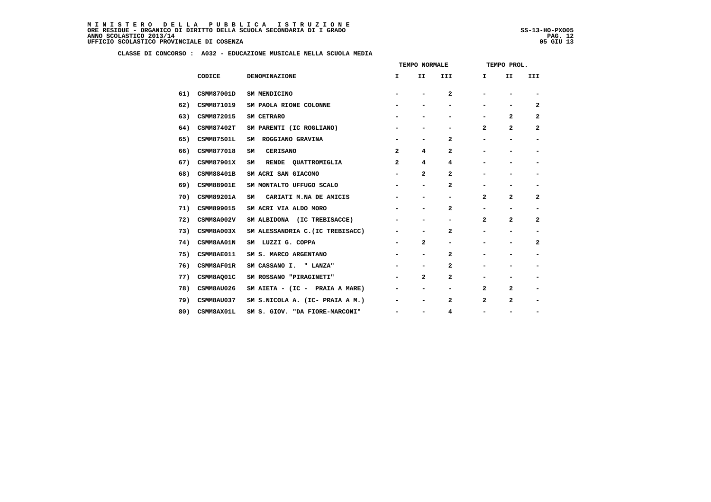|     |                   |                                  | TEMPO NORMALE            |                          |                          | TEMPO PROL.  |                          |                              |
|-----|-------------------|----------------------------------|--------------------------|--------------------------|--------------------------|--------------|--------------------------|------------------------------|
|     | CODICE            | <b>DENOMINAZIONE</b>             | Ι.                       | II                       | III                      | Ι.           | II                       | III                          |
| 61) | CSMM87001D        | SM MENDICINO                     | -                        |                          | 2                        |              |                          |                              |
| 62) | CSMM871019        | SM PAOLA RIONE COLONNE           |                          | $\overline{\phantom{0}}$ | -                        |              |                          | 2                            |
| 63) | CSMM872015        | SM CETRARO                       |                          |                          |                          |              | $\mathbf{2}$             | 2                            |
| 64) | <b>CSMM87402T</b> | SM PARENTI (IC ROGLIANO)         | -                        | -                        | $\overline{\phantom{a}}$ | 2            | $\mathbf{2}$             | 2                            |
| 65) | <b>CSMM87501L</b> | ROGGIANO GRAVINA<br>SM           |                          | $\blacksquare$           | 2                        |              | $\overline{\phantom{a}}$ | $\overline{\phantom{0}}$     |
| 66) | CSMM877018        | <b>CERISANO</b><br>SM            | $\mathbf{2}$             | 4                        | 2                        |              |                          | -                            |
| 67) | <b>CSMM87901X</b> | RENDE QUATTROMIGLIA<br>SM        | 2                        | 4                        | 4                        |              |                          |                              |
| 68) | <b>CSMM88401B</b> | SM ACRI SAN GIACOMO              | $\overline{\phantom{a}}$ | 2                        | 2                        |              |                          | $\overline{\phantom{0}}$     |
| 69) | <b>CSMM88901E</b> | SM MONTALTO UFFUGO SCALO         | $\overline{\phantom{a}}$ | $\blacksquare$           | $\mathbf{2}$             |              | ۰                        | -                            |
| 70) | <b>CSMM89201A</b> | CARIATI M.NA DE AMICIS<br>SM     |                          |                          | -                        | $\mathbf{2}$ | $\mathbf{2}$             | $\mathbf{2}$                 |
| 71) | CSMM899015        | SM ACRI VIA ALDO MORO            |                          |                          | $\mathbf{2}$             |              |                          | $\qquad \qquad \blacksquare$ |
| 72) | CSMM8A002V        | SM ALBIDONA (IC TREBISACCE)      | -                        | -                        | $\overline{\phantom{a}}$ | 2            | 2                        | 2                            |
| 73) | CSMM8A003X        | SM ALESSANDRIA C. (IC TREBISACC) |                          |                          | 2                        |              |                          |                              |
| 74) | <b>CSMM8AA01N</b> | SM LUZZI G. COPPA                | $\overline{\phantom{a}}$ | $\mathbf{2}$             | $\overline{\phantom{a}}$ |              |                          | 2                            |
| 75) | CSMM8AE011        | SM S. MARCO ARGENTANO            |                          | $\blacksquare$           | $\mathbf{2}$             |              |                          | -                            |
| 76) | CSMM8AF01R        | SM CASSANO I. " LANZA"           |                          | -                        | $\mathbf{2}$             |              |                          | -                            |
| 77) | CSMM8AQ01C        | SM ROSSANO "PIRAGINETI"          |                          | $\mathbf{2}$             | $\mathbf{2}$             |              |                          |                              |
| 78) | CSMM8AU026        | SM AIETA - (IC - PRAIA A MARE)   | Ξ.                       | $\blacksquare$           | -                        | $\mathbf{2}$ | $\mathbf{2}$             | -                            |
| 79) | CSMM8AU037        | SM S.NICOLA A. (IC- PRAIA A M.)  | $\overline{\phantom{a}}$ | $\overline{\phantom{a}}$ | 2                        | $\mathbf{2}$ | $\mathbf{2}$             | -                            |
| 80) | CSMM8AX01L        | SM S. GIOV. "DA FIORE-MARCONI"   |                          | -                        | 4                        |              |                          |                              |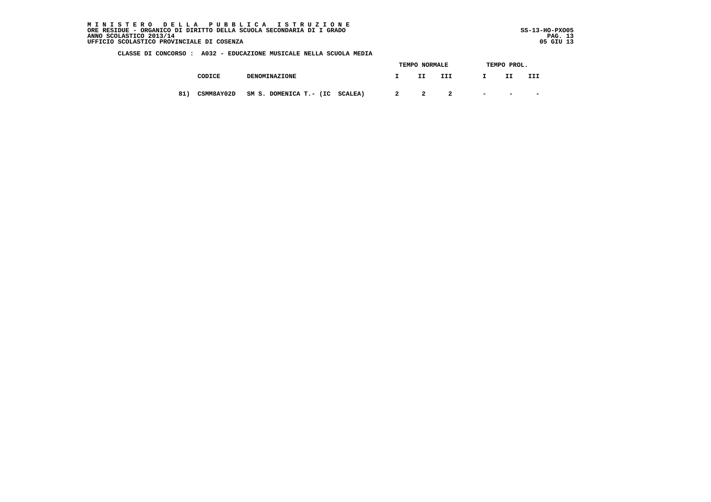MINISTERO DELLA PUBBLICA ISTRUZIONE<br>ORERESIDUE – ORGANICO DI DIRITTO DELLA SCUOLA SECONDARIA DI IGRADO<br>ANNO SCOLASTICO 2013/14 PAG. 13<br>UFFICIO SCOLASTICO PROVINCIALE DI COSENZA (1999)

j

|     |                   |                                | TEMPO NORMALE           |     |     |        | TEMPO PROL. |           |  |
|-----|-------------------|--------------------------------|-------------------------|-----|-----|--------|-------------|-----------|--|
|     | CODICE            | <b>DENOMINAZIONE</b>           |                         | II. | III |        | II          | III       |  |
| 81) | <b>CSMM8AY02D</b> | SM S. DOMENICA T.- (IC SCALEA) | $\overline{\mathbf{2}}$ | 2   |     | $\sim$ | $\sim$      | $\,$ $\,$ |  |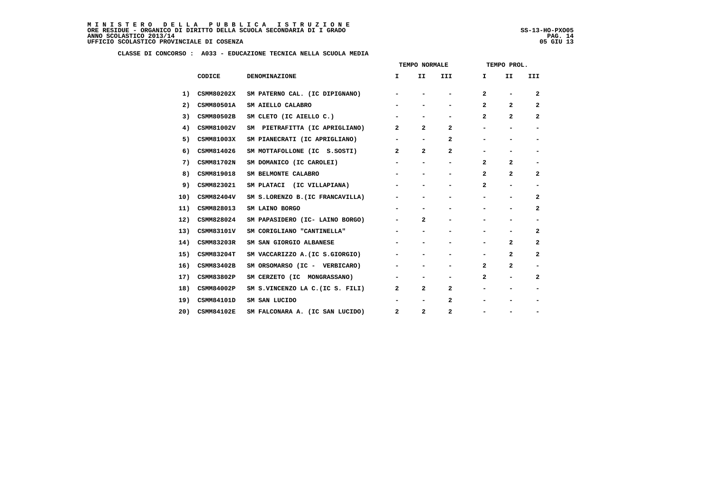|     |                   |                                  | TEMPO NORMALE            |                          |                          |              | TEMPO PROL.              |                              |
|-----|-------------------|----------------------------------|--------------------------|--------------------------|--------------------------|--------------|--------------------------|------------------------------|
|     | CODICE            | <b>DENOMINAZIONE</b>             | Ι.                       | II.                      | <b>III</b>               | I.           | II                       | III.                         |
| 1)  | CSMM80202X        | SM PATERNO CAL. (IC DIPIGNANO)   |                          |                          |                          | $\mathbf{2}$ |                          | $\mathbf{2}$                 |
| 2)  | <b>CSMM80501A</b> | SM AIELLO CALABRO                |                          |                          | -                        | 2            | $\overline{2}$           | 2                            |
| 3)  | CSMM80502B        | SM CLETO (IC AIELLO C.)          |                          | -                        | -                        | $\mathbf{2}$ | $\mathbf{2}$             | 2                            |
| 4)  | CSMM81002V        | SM PIETRAFITTA (IC APRIGLIANO)   | 2                        | $\overline{2}$           | $\mathbf{2}$             |              |                          | $\qquad \qquad \blacksquare$ |
| 5)  | CSMM81003X        | SM PIANECRATI (IC APRIGLIANO)    | $\overline{\phantom{a}}$ | $\overline{\phantom{a}}$ | $\mathbf{2}$             |              |                          | -                            |
| 6)  | CSMM814026        | SM MOTTAFOLLONE (IC S.SOSTI)     | $\mathbf{2}$             | $\mathbf{2}$             | $\mathbf{2}$             |              |                          | $\qquad \qquad \blacksquare$ |
| 7)  | <b>CSMM81702N</b> | SM DOMANICO (IC CAROLEI)         |                          |                          |                          | $\mathbf{2}$ | $\mathbf{2}$             |                              |
| 8)  | CSMM819018        | SM BELMONTE CALABRO              | $\overline{\phantom{a}}$ | $\overline{\phantom{a}}$ | -                        | $\mathbf{2}$ | $\mathbf{2}$             | 2                            |
| 9)  | CSMM823021        | SM PLATACI (IC VILLAPIANA)       |                          |                          | -                        | $\mathbf{2}$ | $\overline{\phantom{0}}$ | $\qquad \qquad \blacksquare$ |
| 10) | CSMM82404V        | SM S.LORENZO B. (IC FRANCAVILLA) |                          |                          |                          |              |                          | 2                            |
| 11) | CSMM828013        | SM LAINO BORGO                   |                          | $\blacksquare$           | -                        |              |                          | $\mathbf{2}$                 |
| 12) | CSMM828024        | SM PAPASIDERO (IC- LAINO BORGO)  | Ξ.                       | $\overline{a}$           | $\overline{\phantom{0}}$ |              |                          | $\qquad \qquad \blacksquare$ |
| 13) | CSMM83101V        | SM CORIGLIANO "CANTINELLA"       |                          |                          |                          |              |                          | 2                            |
| 14) | CSMM83203R        | SM SAN GIORGIO ALBANESE          |                          |                          |                          |              | $\mathbf{2}$             | 2                            |
| 15) | <b>CSMM83204T</b> | SM VACCARIZZO A. (IC S.GIORGIO)  |                          |                          |                          |              | $\mathbf{2}$             | $\mathbf{2}$                 |
| 16) | CSMM83402B        | SM ORSOMARSO (IC - VERBICARO)    | -                        |                          | -                        | $\mathbf{2}$ | $\mathbf{2}$             | -                            |
| 17) | CSMM83802P        | SM CERZETO (IC MONGRASSANO)      | $\overline{\phantom{a}}$ |                          | -                        | $\mathbf{2}$ |                          | $\overline{2}$               |
| 18) | CSMM84002P        | SM S.VINCENZO LA C.(IC S. FILI)  | $\mathbf{2}$             | $\overline{2}$           | $\overline{a}$           |              |                          | $\qquad \qquad \blacksquare$ |
| 19) | CSMM84101D        | SM SAN LUCIDO                    |                          | $\overline{\phantom{a}}$ | 2                        |              |                          |                              |
| 20) | <b>CSMM84102E</b> | SM FALCONARA A. (IC SAN LUCIDO)  | $\mathbf{2}$             | $\overline{2}$           | $\mathbf{2}$             |              |                          |                              |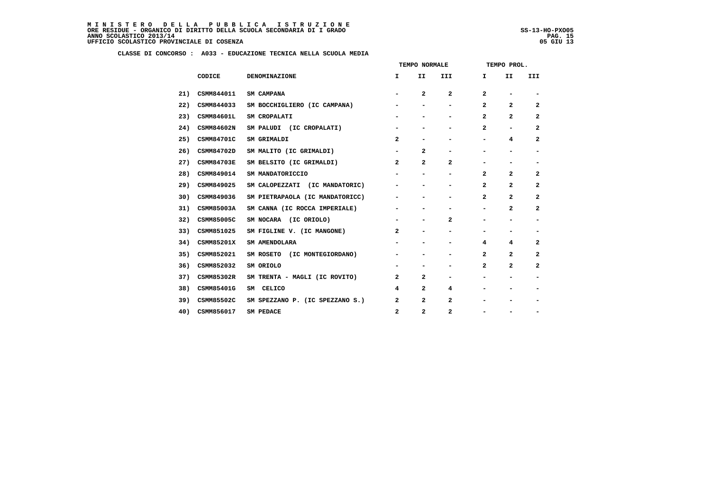|     |                   |                                 |                | TEMPO NORMALE            |                          |                          | TEMPO PROL.                  |                              |
|-----|-------------------|---------------------------------|----------------|--------------------------|--------------------------|--------------------------|------------------------------|------------------------------|
|     | CODICE            | DENOMINAZIONE                   | $\mathbf{I}$   | II                       | III                      | I.                       | II                           | III                          |
| 21) | CSMM844011        | SM CAMPANA                      | $\blacksquare$ | $\overline{a}$           | $\overline{a}$           | $\overline{a}$           | $\qquad \qquad \blacksquare$ | $\overline{\phantom{a}}$     |
| 22) | CSMM844033        | SM BOCCHIGLIERO (IC CAMPANA)    | -              | -                        | $\overline{\phantom{a}}$ | $\mathbf{2}$             | $\mathbf{2}$                 | 2                            |
| 23) | <b>CSMM84601L</b> | SM CROPALATI                    |                |                          | -                        | $\overline{2}$           | $\overline{a}$               | 2                            |
| 24) | CSMM84602N        | SM PALUDI (IC CROPALATI)        | -              |                          | -                        | $\overline{2}$           | -                            | $\mathbf{2}$                 |
| 25) | <b>CSMM84701C</b> | SM GRIMALDI                     | $\mathbf{2}$   | -                        | -                        | $\blacksquare$           | 4                            | $\mathbf{2}$                 |
| 26) | CSMM84702D        | SM MALITO (IC GRIMALDI)         | -              | $\mathbf{2}$             |                          |                          |                              | $\overline{\phantom{0}}$     |
| 27) | <b>CSMM84703E</b> | SM BELSITO (IC GRIMALDI)        | $\mathbf{2}$   | $\overline{\mathbf{2}}$  | $\mathbf{2}$             | $\overline{\phantom{a}}$ | $\qquad \qquad \blacksquare$ | $\blacksquare$               |
| 28) | CSMM849014        | SM MANDATORICCIO                |                | -                        | -                        | $\overline{a}$           | $\overline{2}$               | $\mathbf{2}$                 |
| 29) | CSMM849025        | SM CALOPEZZATI (IC MANDATORIC)  |                |                          | -                        | $\overline{\mathbf{2}}$  | $\overline{a}$               | $\overline{a}$               |
| 30) | CSMM849036        | SM PIETRAPAOLA (IC MANDATORICC) | -              |                          | -                        | $\overline{2}$           | $\mathbf{2}$                 | $\mathbf{2}$                 |
| 31) | CSMM85003A        | SM CANNA (IC ROCCA IMPERIALE)   | -              |                          |                          | $\overline{\phantom{0}}$ | $\mathbf{2}$                 | $\mathbf{2}$                 |
| 32) | CSMM85005C        | SM NOCARA (IC ORIOLO)           | $\blacksquare$ | $\overline{\phantom{a}}$ | 2                        | -                        | $\qquad \qquad \blacksquare$ | $\blacksquare$               |
| 33) | CSMM851025        | SM FIGLINE V. (IC MANGONE)      | $\mathbf{2}$   | -                        |                          |                          |                              | $\qquad \qquad \blacksquare$ |
| 34) | <b>CSMM85201X</b> | SM AMENDOLARA                   |                |                          | -                        | 4                        | 4                            | 2                            |
| 35) | CSMM852021        | SM ROSETO (IC MONTEGIORDANO)    | -              | -                        | -                        | $\overline{2}$           | $\overline{2}$               | 2                            |
| 36) | CSMM852032        | SM ORIOLO                       | -              |                          | -                        | $\overline{2}$           | $\mathbf{2}$                 | $\overline{2}$               |
| 37) | CSMM85302R        | SM TRENTA - MAGLI (IC ROVITO)   | 2              | 2                        |                          |                          |                              | -                            |
| 38) | CSMM85401G        | SM CELICO                       | 4              | $\mathbf{2}$             | 4                        |                          |                              | $\overline{\phantom{a}}$     |
| 39) | CSMM85502C        | SM SPEZZANO P. (IC SPEZZANO S.) | 2              | $\mathbf{2}$             | $\mathbf{2}$             |                          |                              | $\overline{\phantom{a}}$     |
| 40) | CSMM856017        | SM PEDACE                       | 2              | $\mathbf{2}$             | $\mathbf{2}$             |                          |                              | -                            |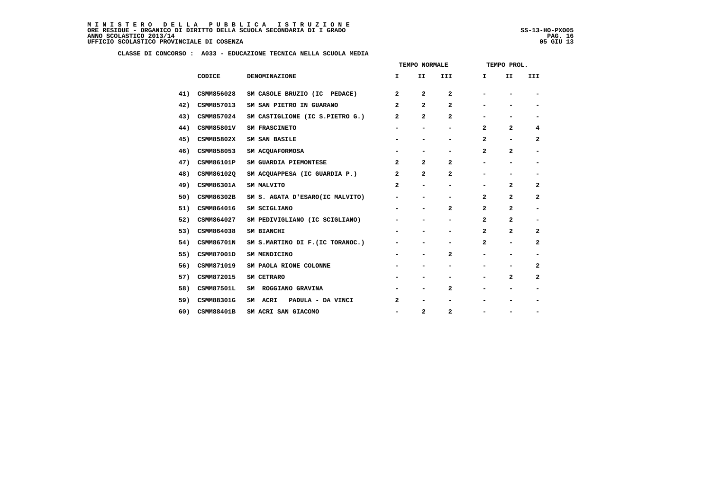ļ

|     |                   |                                  |                              | TEMPO NORMALE            |                          |                          | TEMPO PROL.              |                              |
|-----|-------------------|----------------------------------|------------------------------|--------------------------|--------------------------|--------------------------|--------------------------|------------------------------|
|     | CODICE            | DENOMINAZIONE                    | I.                           | II                       | III                      | I.                       | II                       | III                          |
| 41) | CSMM856028        | SM CASOLE BRUZIO (IC PEDACE)     | $\overline{2}$               | 2                        | $\mathbf{2}$             |                          |                          |                              |
| 42) | CSMM857013        | SM SAN PIETRO IN GUARANO         | $\overline{a}$               | 2                        | $\mathbf{2}$             |                          | $\overline{\phantom{0}}$ | $\overline{\phantom{a}}$     |
| 43) | CSMM857024        | SM CASTIGLIONE (IC S.PIETRO G.)  | $\overline{a}$               | 2                        | 2                        | $\overline{\phantom{0}}$ | -                        |                              |
| 44) | CSMM85801V        | SM FRASCINETO                    | $\overline{\phantom{a}}$     | $\overline{\phantom{a}}$ | $\overline{\phantom{0}}$ | $\mathbf{2}$             | $\overline{a}$           | 4                            |
| 45) | CSMM85802X        | SM SAN BASILE                    | $\overline{\phantom{a}}$     | $\overline{\phantom{a}}$ | $\overline{\phantom{0}}$ | $\mathbf{2}$             | $\overline{\phantom{a}}$ | 2                            |
| 46) | CSMM858053        | SM ACQUAFORMOSA                  |                              |                          |                          | $\mathbf{2}$             | 2                        | $\overline{\phantom{a}}$     |
| 47) | CSMM86101P        | SM GUARDIA PIEMONTESE            | $\overline{a}$               | $\overline{a}$           | $\mathbf{2}$             | -                        | $\overline{\phantom{a}}$ | $\overline{\phantom{a}}$     |
| 48) | CSMM86102Q        | SM ACQUAPPESA (IC GUARDIA P.)    | $\overline{a}$               | 2                        | $\overline{2}$           | -                        | -                        | $\overline{\phantom{a}}$     |
| 49) | CSMM86301A        | SM MALVITO                       | $\mathbf{2}$                 | $\overline{\phantom{a}}$ |                          | -                        | $\overline{a}$           | $\mathbf{2}$                 |
| 50) | CSMM86302B        | SM S. AGATA D'ESARO(IC MALVITO)  | $\overline{\phantom{0}}$     | $\overline{\phantom{a}}$ | -                        | $\mathbf{2}$             | $\overline{a}$           | $\mathbf{2}$                 |
| 51) | CSMM864016        | SM SCIGLIANO                     |                              | $\overline{\phantom{a}}$ | $\mathbf{2}$             | $\mathbf{2}$             | $\overline{a}$           | $\qquad \qquad \blacksquare$ |
| 52) | CSMM864027        | SM PEDIVIGLIANO (IC SCIGLIANO)   | $\qquad \qquad \blacksquare$ | $\overline{\phantom{a}}$ | -                        | $\mathbf{2}$             | $\overline{a}$           | $\overline{\phantom{a}}$     |
| 53) | CSMM864038        | SM BIANCHI                       | $\overline{\phantom{a}}$     | $\overline{\phantom{0}}$ | $\overline{\phantom{0}}$ | $\overline{a}$           | $\overline{a}$           | $\mathbf{2}$                 |
| 54) | <b>CSMM86701N</b> | SM S.MARTINO DI F. (IC TORANOC.) | $\qquad \qquad \blacksquare$ | $\overline{\phantom{a}}$ | -                        | $\mathbf{2}$             | $\overline{\phantom{a}}$ | $\mathbf{2}$                 |
| 55) | CSMM87001D        | SM MENDICINO                     | $\overline{\phantom{a}}$     | $\overline{\phantom{a}}$ | $\mathbf{2}$             | -                        | $\overline{\phantom{a}}$ | $\overline{\phantom{a}}$     |
| 56) | CSMM871019        | SM PAOLA RIONE COLONNE           |                              | $\overline{\phantom{0}}$ |                          | $\overline{\phantom{0}}$ |                          | 2                            |
| 57) | CSMM872015        | SM CETRARO                       |                              | $\overline{\phantom{0}}$ |                          | -                        | $\mathbf{2}$             | $\mathbf{2}$                 |
| 58) | <b>CSMM87501L</b> | SM ROGGIANO GRAVINA              |                              | $\overline{\phantom{a}}$ | $\mathbf{2}$             | $\overline{\phantom{0}}$ | $\overline{\phantom{0}}$ | $\overline{\phantom{a}}$     |
| 59) | CSMM88301G        | SM ACRI<br>PADULA - DA VINCI     | 2                            | $\overline{\phantom{a}}$ | -                        |                          | -                        | $\overline{\phantom{a}}$     |
| 60) | <b>CSMM88401B</b> | SM ACRI SAN GIACOMO              | $\overline{\phantom{a}}$     | $\overline{a}$           | $\mathbf{2}$             | $\overline{\phantom{0}}$ |                          | $\overline{\phantom{a}}$     |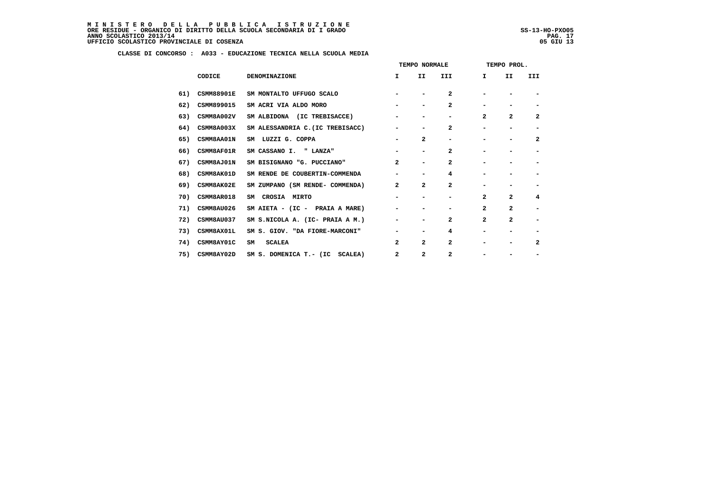|     |                   |                                  |                          | TEMPO NORMALE            |                |                          | TEMPO PROL.                  |                          |
|-----|-------------------|----------------------------------|--------------------------|--------------------------|----------------|--------------------------|------------------------------|--------------------------|
|     | CODICE            | DENOMINAZIONE                    | I.                       | II                       | III            | I                        | II                           | III                      |
| 61) | <b>CSMM88901E</b> | SM MONTALTO UFFUGO SCALO         |                          | $\overline{\phantom{a}}$ | $\mathbf{2}$   |                          |                              |                          |
| 62) | CSMM899015        | SM ACRI VIA ALDO MORO            |                          | $\overline{\phantom{a}}$ | $\mathbf{2}$   |                          | -                            |                          |
| 63) | CSMM8A002V        | SM ALBIDONA (IC TREBISACCE)      | $\overline{\phantom{a}}$ | $\overline{\phantom{a}}$ |                | $\overline{a}$           | $\overline{a}$               | $\overline{\mathbf{2}}$  |
| 64) | CSMM8A003X        | SM ALESSANDRIA C. (IC TREBISACC) | $\overline{\phantom{a}}$ | $\overline{\phantom{0}}$ | $\mathbf{2}$   |                          | $\overline{\phantom{0}}$     |                          |
| 65) | CSMM8AA01N        | SM LUZZI G. COPPA                | $\blacksquare$           | $\mathbf{2}$             |                | $\overline{\phantom{0}}$ | $\qquad \qquad \blacksquare$ | $\overline{\mathbf{2}}$  |
| 66) | CSMM8AF01R        | SM CASSANO I. " LANZA"           | $\blacksquare$           | $\overline{\phantom{a}}$ | 2              |                          | $\overline{\phantom{0}}$     |                          |
| 67) | CSMM8AJ01N        | SM BISIGNANO "G. PUCCIANO"       | $\overline{a}$           | $\overline{\phantom{a}}$ | $\mathbf{2}$   |                          |                              |                          |
| 68) | CSMM8AK01D        | SM RENDE DE COUBERTIN-COMMENDA   | $\overline{\phantom{a}}$ | $\overline{\phantom{a}}$ | 4              |                          | -                            |                          |
| 69) | <b>CSMM8AK02E</b> | SM ZUMPANO (SM RENDE- COMMENDA)  | $\overline{a}$           | $\overline{a}$           | $\mathbf{2}$   |                          | $\overline{\phantom{0}}$     |                          |
| 70) | CSMM8AR018        | SM CROSIA MIRTO                  | $\overline{\phantom{a}}$ | $\overline{\phantom{a}}$ |                | $\mathbf{2}$             | $\overline{a}$               | 4                        |
| 71) | CSMM8AU026        | SM AIETA - (IC - PRAIA A MARE)   | $\overline{\phantom{a}}$ | -                        |                | $\mathbf{2}$             | $\overline{a}$               | $\overline{\phantom{a}}$ |
| 72) | CSMM8AU037        | SM S.NICOLA A. (IC- PRAIA A M.)  | $\overline{\phantom{a}}$ | $\overline{\phantom{a}}$ | $\mathbf{2}$   | $\overline{a}$           | $\overline{a}$               |                          |
| 73) | CSMM8AX01L        | SM S. GIOV. "DA FIORE-MARCONI"   | $\blacksquare$           | $\blacksquare$           | 4              | $\overline{\phantom{0}}$ | $\overline{\phantom{a}}$     |                          |
| 74) | CSMM8AY01C        | <b>SCALEA</b><br>SM              | $\overline{2}$           | $\overline{a}$           | $\mathbf{2}$   |                          | $\overline{\phantom{0}}$     | $\overline{\mathbf{2}}$  |
| 75) | CSMM8AY02D        | SM S. DOMENICA T.- (IC SCALEA)   | 2                        | $\overline{a}$           | $\overline{a}$ |                          |                              |                          |
|     |                   |                                  |                          |                          |                |                          |                              |                          |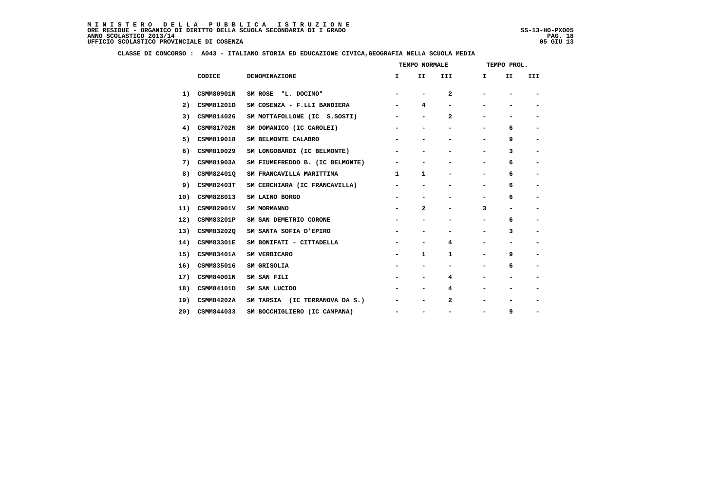#### **CLASSE DI CONCORSO : A043 - ITALIANO STORIA ED EDUCAZIONE CIVICA,GEOGRAFIA NELLA SCUOLA MEDIA**

|     |                   |                                 |                              | TEMPO NORMALE                |                          |                          | TEMPO PROL.              |                          |
|-----|-------------------|---------------------------------|------------------------------|------------------------------|--------------------------|--------------------------|--------------------------|--------------------------|
|     | CODICE            | DENOMINAZIONE                   | I.                           | II                           | III                      | Ι.                       | II                       | III                      |
| 1)  | <b>CSMM80901N</b> | SM ROSE "L. DOCIMO"             | $\overline{\phantom{a}}$     | $\qquad \qquad \blacksquare$ | $\mathbf{2}$             | $\overline{\phantom{0}}$ |                          | $\overline{\phantom{a}}$ |
| 2)  | CSMM81201D        | SM COSENZA - F.LLI BANDIERA     | -                            | 4                            | -                        |                          |                          | $\overline{\phantom{a}}$ |
| 3)  | CSMM814026        | SM MOTTAFOLLONE (IC S.SOSTI)    | -                            | -                            | $\mathbf{2}$             |                          |                          | $\qquad \qquad$          |
| 4)  | <b>CSMM81702N</b> | SM DOMANICO (IC CAROLEI)        | -                            | $\qquad \qquad \blacksquare$ | -                        | Ξ.                       | 6                        | $\overline{\phantom{a}}$ |
| 5)  | CSMM819018        | SM BELMONTE CALABRO             | $\qquad \qquad \blacksquare$ |                              | -                        |                          | 9                        | $\blacksquare$           |
| 6)  | CSMM819029        | SM LONGOBARDI (IC BELMONTE)     | -                            | -                            | -                        | Ξ.                       | з                        | $\overline{\phantom{a}}$ |
| 7)  | CSMM81903A        | SM FIUMEFREDDO B. (IC BELMONTE) |                              |                              |                          |                          | 6                        | $\overline{\phantom{a}}$ |
| 8)  | CSMM82401Q        | SM FRANCAVILLA MARITTIMA        | $\mathbf{1}$                 | 1                            | -                        | Ξ.                       | 6                        | $\blacksquare$           |
| 9)  | <b>CSMM82403T</b> | SM CERCHIARA (IC FRANCAVILLA)   | -                            | $\qquad \qquad \blacksquare$ | -                        | Ξ.                       | 6                        | $\overline{\phantom{a}}$ |
| 10) | CSMM828013        | SM LAINO BORGO                  |                              |                              |                          |                          | 6                        |                          |
| 11) | <b>CSMM82901V</b> | SM MORMANNO                     | -                            | $\mathbf{2}$                 | -                        | 3                        | $\blacksquare$           | $\blacksquare$           |
| 12) | CSMM83201P        | SM SAN DEMETRIO CORONE          |                              | $\overline{\phantom{0}}$     | $\overline{\phantom{0}}$ | -                        | 6                        | $\overline{\phantom{a}}$ |
| 13) | CSMM83202Q        | SM SANTA SOFIA D'EPIRO          |                              |                              | -                        |                          | 3                        | $\overline{\phantom{a}}$ |
| 14) | <b>CSMM83301E</b> | SM BONIFATI - CITTADELLA        | $\qquad \qquad \blacksquare$ | -                            | 4                        | Ξ.                       |                          | $\overline{\phantom{a}}$ |
| 15) | CSMM83401A        | SM VERBICARO                    | -                            | 1                            | 1                        | -                        | 9                        | $\blacksquare$           |
| 16) | CSMM835016        | SM GRISOLIA                     | $\overline{\phantom{0}}$     | $\qquad \qquad \blacksquare$ | -                        | -                        | 6                        | $\blacksquare$           |
| 17) | <b>CSMM84001N</b> | SM SAN FILI                     |                              |                              | 4                        |                          |                          |                          |
| 18) | CSMM84101D        | SM SAN LUCIDO                   |                              | -                            | 4                        |                          |                          | $\overline{\phantom{a}}$ |
| 19) | <b>CSMM84202A</b> | SM TARSIA (IC TERRANOVA DA S.)  | -                            | -                            | 2                        |                          | $\overline{\phantom{a}}$ | -                        |
| 20) | CSMM844033        | SM BOCCHIGLIERO (IC CAMPANA)    | $\qquad \qquad \blacksquare$ |                              |                          |                          | 9                        | -                        |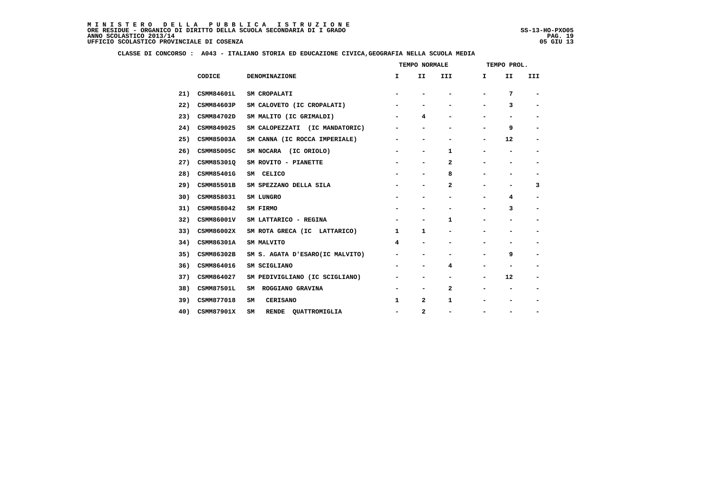### **CLASSE DI CONCORSO : A043 - ITALIANO STORIA ED EDUCAZIONE CIVICA,GEOGRAFIA NELLA SCUOLA MEDIA**

| CODICE            | DENOMINAZIONE                       | I.                       | II                       | III          | Ι.                       | II                       | III                          |
|-------------------|-------------------------------------|--------------------------|--------------------------|--------------|--------------------------|--------------------------|------------------------------|
| <b>CSMM84601L</b> | SM CROPALATI                        | $\blacksquare$           |                          | -            |                          | 7                        | $\qquad \qquad \blacksquare$ |
| CSMM84603P        | SM CALOVETO (IC CROPALATI)          | -                        |                          | -            |                          | з                        | -                            |
| CSMM84702D        | SM MALITO (IC GRIMALDI)             | -                        | 4                        | -            |                          |                          | -                            |
| CSMM849025        | SM CALOPEZZATI (IC MANDATORIC)      | -                        | -                        | -            |                          | 9                        | $\qquad \qquad \blacksquare$ |
| CSMM85003A        | SM CANNA (IC ROCCA IMPERIALE)       | -                        |                          | -            |                          | 12                       | $\qquad \qquad \blacksquare$ |
| CSMM85005C        | SM NOCARA (IC ORIOLO)               | -                        | -                        | 1            |                          |                          | -                            |
| CSMM85301Q        | SM ROVITO - PIANETTE                | -                        | $\overline{a}$           | 2            |                          |                          |                              |
| CSMM85401G        | SM CELICO                           | -                        | -                        | 8            |                          |                          | -                            |
| CSMM85501B        | SM SPEZZANO DELLA SILA              | -                        | -                        | $\mathbf{2}$ |                          | ۰                        | 3                            |
| CSMM858031        | SM LUNGRO                           |                          |                          |              |                          | 4                        |                              |
| CSMM858042        | SM FIRMO                            | -                        | -                        | -            | $\overline{\phantom{a}}$ | з                        | -                            |
| CSMM86001V        | SM LATTARICO - REGINA               |                          | $\overline{\phantom{a}}$ | 1            |                          |                          | -                            |
| CSMM86002X        | SM ROTA GRECA (IC LATTARICO)        | 1                        | 1                        | -            |                          |                          | -                            |
| CSMM86301A        | SM MALVITO                          | 4                        | $\overline{\phantom{0}}$ | -            |                          |                          |                              |
| CSMM86302B        | SM S. AGATA D'ESARO(IC MALVITO)     | -                        |                          | -            |                          | 9                        | $\qquad \qquad \blacksquare$ |
| CSMM864016        | SM SCIGLIANO                        | -                        | -                        | 4            | -                        | $\overline{\phantom{0}}$ | $\qquad \qquad \blacksquare$ |
| CSMM864027        | SM PEDIVIGLIANO (IC SCIGLIANO)      |                          | -                        | -            |                          | 12                       |                              |
| <b>CSMM87501L</b> | ROGGIANO GRAVINA<br>SM              | -                        |                          | 2            |                          |                          |                              |
| CSMM877018        | <b>CERISANO</b><br>SM               | 1                        | 2                        | 1            |                          |                          | -                            |
| CSMM87901X        | SM<br><b>RENDE</b><br>QUATTROMIGLIA | $\overline{\phantom{0}}$ | $\mathbf{2}$             | -            |                          |                          |                              |
|                   |                                     |                          |                          |              | TEMPO NORMALE            |                          | TEMPO PROL.                  |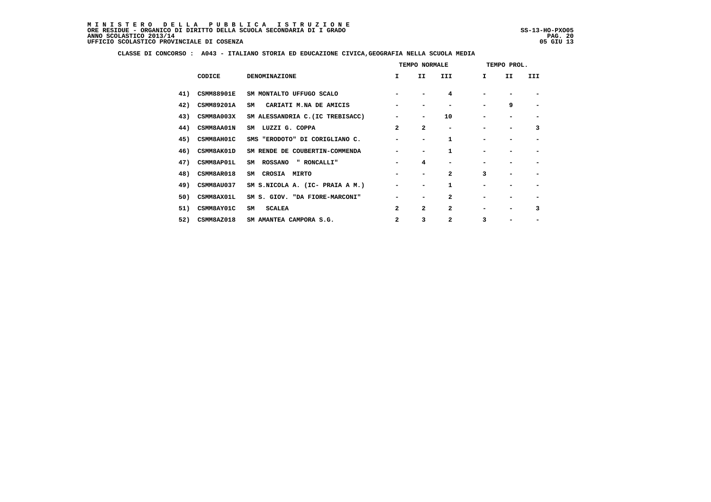#### **CLASSE DI CONCORSO : A043 - ITALIANO STORIA ED EDUCAZIONE CIVICA,GEOGRAFIA NELLA SCUOLA MEDIA**

|     |                   |                                  | TEMPO NORMALE  |                          |                |                          | TEMPO PROL. |     |  |  |  |
|-----|-------------------|----------------------------------|----------------|--------------------------|----------------|--------------------------|-------------|-----|--|--|--|
|     | CODICE            | <b>DENOMINAZIONE</b>             | $\mathbf{I}$   | II.                      | III.           | Ι.                       | II          | III |  |  |  |
| 41) | <b>CSMM88901E</b> | SM MONTALTO UFFUGO SCALO         |                |                          | 4              |                          |             |     |  |  |  |
| 42) | <b>CSMM89201A</b> | CARIATI M. NA DE AMICIS<br>SM    |                |                          |                |                          | 9           |     |  |  |  |
| 43) | CSMM8A003X        | SM ALESSANDRIA C. (IC TREBISACC) |                | $\overline{\phantom{0}}$ | 10             |                          |             |     |  |  |  |
| 44) | <b>CSMM8AA01N</b> | SM LUZZI G. COPPA                | $\overline{a}$ | $\mathbf{z}$             |                |                          |             | 3   |  |  |  |
| 45) | CSMM8AH01C        | SMS "ERODOTO" DI CORIGLIANO C.   |                | $\overline{\phantom{0}}$ | 1              |                          |             |     |  |  |  |
| 46) | <b>CSMM8AK01D</b> | SM RENDE DE COUBERTIN-COMMENDA   |                |                          | 1              |                          |             |     |  |  |  |
| 47) | CSMM8AP01L        | " RONCALLI"<br>SM ROSSANO        |                | 4                        |                |                          |             |     |  |  |  |
| 48) | CSMM8AR018        | SM CROSIA MIRTO                  |                | $\overline{\phantom{0}}$ | $\overline{a}$ | 3                        |             |     |  |  |  |
| 49) | CSMM8AU037        | SM S.NICOLA A. (IC- PRAIA A M.)  |                | -                        | 1              |                          |             |     |  |  |  |
| 50) | CSMM8AX01L        | SM S. GIOV. "DA FIORE-MARCONI"   |                |                          | $\overline{a}$ |                          |             |     |  |  |  |
| 51) | <b>CSMM8AY01C</b> | <b>SCALEA</b><br>SM              | $\mathbf{2}$   | $\mathbf{z}$             | $\overline{a}$ | $\overline{\phantom{a}}$ |             | 3   |  |  |  |
| 52) | CSMM8AZ018        | SM AMANTEA CAMPORA S.G.          | $\mathbf{2}$   | 3                        | $\mathbf{2}$   | 3                        |             |     |  |  |  |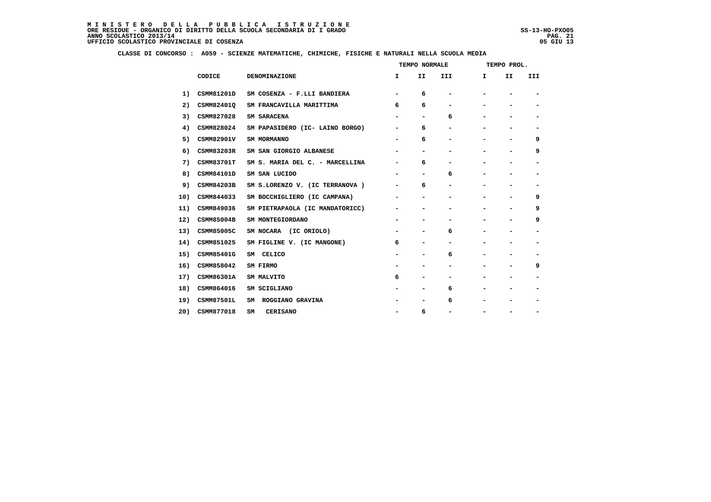## **CLASSE DI CONCORSO : A059 - SCIENZE MATEMATICHE, CHIMICHE, FISICHE E NATURALI NELLA SCUOLA MEDIA**

|     |                   |                                 |                          | TEMPO NORMALE                |     | TEMPO PROL.              |                          |                          |
|-----|-------------------|---------------------------------|--------------------------|------------------------------|-----|--------------------------|--------------------------|--------------------------|
|     | CODICE            | DENOMINAZIONE                   | I.                       | II                           | III | I                        | II                       | III                      |
| 1)  | CSMM81201D        | SM COSENZA - F.LLI BANDIERA     | $\blacksquare$           | 6                            |     |                          |                          | $\overline{\phantom{a}}$ |
| 2)  | CSMM82401Q        | SM FRANCAVILLA MARITTIMA        | 6                        | 6                            |     | $\overline{\phantom{0}}$ |                          |                          |
| 3)  | CSMM827028        | SM SARACENA                     |                          | $\overline{\phantom{a}}$     | 6   |                          |                          |                          |
| 4)  | CSMM828024        | SM PAPASIDERO (IC- LAINO BORGO) | $\overline{\phantom{a}}$ | 6                            |     | $\overline{\phantom{0}}$ | $\overline{\phantom{0}}$ | $\overline{\phantom{a}}$ |
| 5)  | CSMM82901V        | SM MORMANNO                     |                          | 6                            |     | -                        | $\overline{\phantom{0}}$ | 9                        |
| 6)  | CSMM83203R        | SM SAN GIORGIO ALBANESE         | $\overline{\phantom{a}}$ | $\qquad \qquad \blacksquare$ |     | $\overline{\phantom{0}}$ | $\overline{\phantom{0}}$ | 9                        |
| 7)  | <b>CSMM83701T</b> | SM S. MARIA DEL C. - MARCELLINA |                          | 6                            |     |                          |                          |                          |
| 8)  | CSMM84101D        | SM SAN LUCIDO                   |                          | $\overline{\phantom{a}}$     | 6   | $\overline{\phantom{0}}$ |                          | $\overline{\phantom{a}}$ |
| 9)  | <b>CSMM84203B</b> | SM S.LORENZO V. (IC TERRANOVA)  | $\overline{\phantom{a}}$ | 6                            | -   | -                        | $\overline{\phantom{0}}$ | $\overline{\phantom{a}}$ |
| 10) | CSMM844033        | SM BOCCHIGLIERO (IC CAMPANA)    |                          |                              |     |                          |                          | 9                        |
| 11) | CSMM849036        | SM PIETRAPAOLA (IC MANDATORICC) | $\overline{\phantom{a}}$ | $\overline{\phantom{a}}$     |     | $\overline{\phantom{0}}$ | $\overline{\phantom{a}}$ | 9                        |
| 12) | CSMM85004B        | SM MONTEGIORDANO                |                          | $\blacksquare$               |     | $\overline{\phantom{0}}$ | $\overline{\phantom{0}}$ | 9                        |
| 13) | CSMM85005C        | SM NOCARA (IC ORIOLO)           |                          | -                            | 6   |                          |                          | $\overline{\phantom{a}}$ |
| 14) | CSMM851025        | SM FIGLINE V. (IC MANGONE)      | 6                        | $\overline{\phantom{a}}$     |     |                          | $\overline{\phantom{0}}$ |                          |
| 15) | CSMM85401G        | SM CELICO                       | $\overline{\phantom{a}}$ | $\overline{\phantom{a}}$     | 6   | $\overline{\phantom{0}}$ | $\overline{\phantom{0}}$ | $\overline{\phantom{a}}$ |
| 16) | CSMM858042        | SM FIRMO                        | $\overline{\phantom{a}}$ | $\overline{\phantom{a}}$     | -   | $\overline{\phantom{0}}$ | $\overline{\phantom{0}}$ | 9                        |
| 17) | CSMM86301A        | SM MALVITO                      | 6                        |                              |     |                          |                          |                          |
| 18) | CSMM864016        | SM SCIGLIANO                    |                          |                              | 6   |                          |                          | $\overline{\phantom{a}}$ |
| 19) | <b>CSMM87501L</b> | SM ROGGIANO GRAVINA             |                          | $\overline{\phantom{a}}$     | 6   |                          | $\overline{\phantom{0}}$ | $\overline{\phantom{a}}$ |
| 20) | CSMM877018        | SM<br><b>CERISANO</b>           |                          | 6                            |     |                          |                          |                          |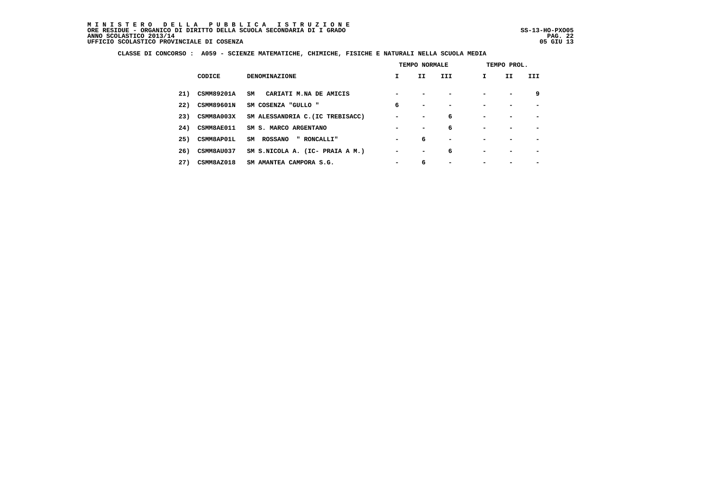## **CLASSE DI CONCORSO : A059 - SCIENZE MATEMATICHE, CHIMICHE, FISICHE E NATURALI NELLA SCUOLA MEDIA**

|     |                   |                                  | TEMPO NORMALE            |                          |                          | TEMPO PROL.  |     |                          |  |  |
|-----|-------------------|----------------------------------|--------------------------|--------------------------|--------------------------|--------------|-----|--------------------------|--|--|
|     | CODICE            | <b>DENOMINAZIONE</b>             | I.                       | II.                      | <b>III</b>               | $\mathbf{I}$ | II. | III                      |  |  |
| 21) | CSMM89201A        | SM<br>CARIATI M.NA DE AMICIS     |                          |                          |                          |              |     | 9                        |  |  |
| 22) | <b>CSMM89601N</b> | SM COSENZA "GULLO "              | 6                        | $\overline{\phantom{0}}$ | $\overline{\phantom{a}}$ |              |     | $\overline{\phantom{0}}$ |  |  |
| 23) | CSMM8A003X        | SM ALESSANDRIA C. (IC TREBISACC) | $\overline{\phantom{0}}$ | $\blacksquare$           | 6                        |              |     | $\overline{\phantom{0}}$ |  |  |
| 24) | <b>CSMM8AE011</b> | SM S. MARCO ARGENTANO            |                          | $\overline{\phantom{0}}$ | 6                        |              |     |                          |  |  |
| 25) | <b>CSMM8AP01L</b> | SM ROSSANO<br>" RONCALLI"        | $\overline{\phantom{0}}$ | 6                        | $\overline{\phantom{a}}$ |              |     | $\overline{\phantom{0}}$ |  |  |
| 26) | CSMM8AU037        | SM S.NICOLA A. (IC- PRAIA A M.)  | $\blacksquare$           | $\overline{\phantom{0}}$ | 6                        |              |     | $\overline{\phantom{0}}$ |  |  |
| 27) | CSMM8AZ018        | SM AMANTEA CAMPORA S.G.          | $\overline{\phantom{0}}$ | 6                        | -                        |              |     |                          |  |  |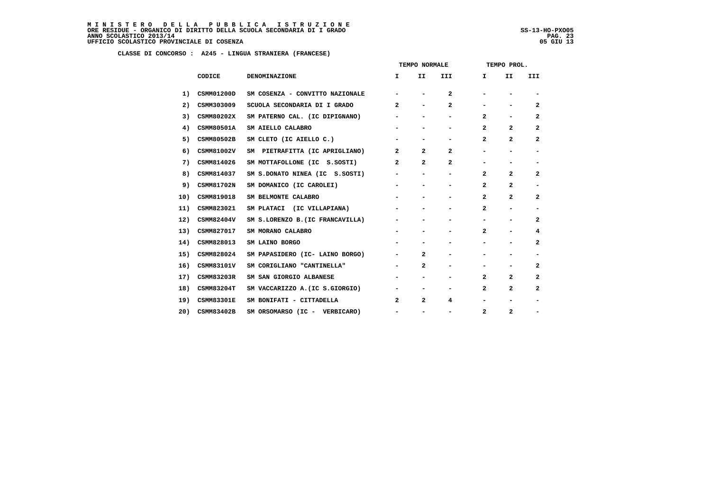MINISTERO DELLA PUBBLICA ISTRUZIONE<br>ORERESIDUE – ORGANICO DI DIRITTO DELLA SCUOLA SECONDARIA DI IGRADO<br>ANNO SCOLASTICO 2013/14 PAG. 23<br>UFFICIO SCOLASTICO PROVINCIALE DI COSENZA (1998)

j

|     |                   |                                  | TEMPO NORMALE            |                          |                          |              | TEMPO PROL.              |                              |  |  |  |
|-----|-------------------|----------------------------------|--------------------------|--------------------------|--------------------------|--------------|--------------------------|------------------------------|--|--|--|
|     | CODICE            | <b>DENOMINAZIONE</b>             | I.                       | II                       | III                      | I.           | II                       | III                          |  |  |  |
| 1)  | CSMM01200D        | SM COSENZA - CONVITTO NAZIONALE  |                          |                          | $\mathbf{2}$             |              |                          |                              |  |  |  |
| 2)  | CSMM303009        | SCUOLA SECONDARIA DI I GRADO     | $\mathbf{2}$             | $\overline{\phantom{a}}$ | $\mathbf{2}$             |              |                          | $\overline{a}$               |  |  |  |
| 3)  | CSMM80202X        | SM PATERNO CAL. (IC DIPIGNANO)   | Ξ.                       | -                        |                          | 2            |                          | $\overline{a}$               |  |  |  |
| 4)  | <b>CSMM80501A</b> | SM AIELLO CALABRO                |                          |                          |                          | $\mathbf{2}$ | $\mathbf{2}$             | $\mathbf{2}$                 |  |  |  |
| 5)  | CSMM80502B        | SM CLETO (IC AIELLO C.)          |                          | $\blacksquare$           | $\overline{\phantom{a}}$ | $\mathbf{2}$ | $\mathbf{2}$             | $\overline{a}$               |  |  |  |
| 6)  | CSMM81002V        | SM PIETRAFITTA (IC APRIGLIANO)   | $\overline{2}$           | $\overline{a}$           | $\overline{a}$           |              |                          | -                            |  |  |  |
| 7)  | CSMM814026        | SM MOTTAFOLLONE (IC S.SOSTI)     | $\mathbf{2}$             | $\overline{2}$           | $\overline{a}$           |              |                          | $\qquad \qquad \blacksquare$ |  |  |  |
| 8)  | CSMM814037        | SM S.DONATO NINEA (IC S.SOSTI)   | $\blacksquare$           | $\overline{\phantom{a}}$ | $\overline{\phantom{a}}$ | $\mathbf{2}$ | $\mathbf{2}$             | $\overline{a}$               |  |  |  |
| 9)  | CSMM81702N        | SM DOMANICO (IC CAROLEI)         | $\overline{\phantom{a}}$ | -                        |                          | $\mathbf{2}$ | $\overline{a}$           | -                            |  |  |  |
| 10) | CSMM819018        | SM BELMONTE CALABRO              |                          |                          |                          | $\mathbf{2}$ | $\mathbf{2}$             | $\mathbf{2}$                 |  |  |  |
| 11) | CSMM823021        | SM PLATACI (IC VILLAPIANA)       | $\overline{\phantom{a}}$ | $\blacksquare$           | $\overline{\phantom{a}}$ | $\mathbf{2}$ | $\overline{\phantom{0}}$ | $\qquad \qquad \blacksquare$ |  |  |  |
| 12) | <b>CSMM82404V</b> | SM S.LORENZO B. (IC FRANCAVILLA) | $\overline{\phantom{a}}$ |                          |                          |              | $\overline{\phantom{a}}$ | 2                            |  |  |  |
| 13) | CSMM827017        | SM MORANO CALABRO                |                          |                          |                          | $\mathbf{2}$ |                          | 4                            |  |  |  |
| 14) | CSMM828013        | SM LAINO BORGO                   |                          | $\blacksquare$           | -                        |              |                          | $\overline{a}$               |  |  |  |
| 15) | CSMM828024        | SM PAPASIDERO (IC- LAINO BORGO)  | $\overline{\phantom{a}}$ | $\overline{2}$           | -                        |              |                          | -                            |  |  |  |
| 16) | CSMM83101V        | SM CORIGLIANO "CANTINELLA"       |                          | $\mathbf{2}$             |                          |              |                          | 2                            |  |  |  |
| 17) | CSMM83203R        | SM SAN GIORGIO ALBANESE          |                          | $\blacksquare$           | -                        | $\mathbf{2}$ | $\overline{a}$           | $\overline{a}$               |  |  |  |
| 18) | <b>CSMM83204T</b> | SM VACCARIZZO A. (IC S.GIORGIO)  | $\overline{\phantom{a}}$ | $\overline{\phantom{a}}$ | -                        | $\mathbf{2}$ | $\overline{a}$           | $\overline{a}$               |  |  |  |
| 19) | <b>CSMM83301E</b> | SM BONIFATI - CITTADELLA         | $\mathbf{2}$             | $\mathbf{2}$             | 4                        |              |                          | -                            |  |  |  |
| 20) | CSMM83402B        | SM ORSOMARSO (IC - VERBICARO)    | $\overline{\phantom{a}}$ | $\overline{\phantom{a}}$ | -                        | $\mathbf{2}$ | $\mathbf{2}$             | -                            |  |  |  |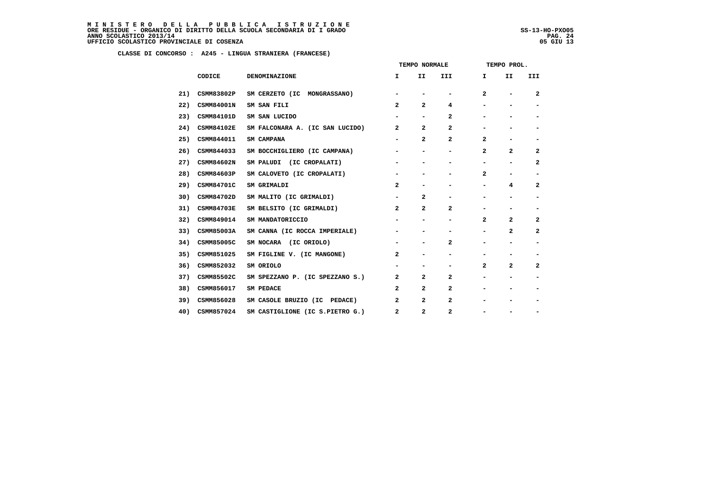|     |                   |                                 | TEMPO NORMALE            |                          |                          |                          | TEMPO PROL.              |                          |  |  |  |
|-----|-------------------|---------------------------------|--------------------------|--------------------------|--------------------------|--------------------------|--------------------------|--------------------------|--|--|--|
|     | CODICE            | <b>DENOMINAZIONE</b>            | I.                       | II.                      | III.                     | Ι.                       | II                       | III                      |  |  |  |
| 21) | CSMM83802P        | SM CERZETO (IC MONGRASSANO)     |                          |                          |                          | $\overline{a}$           |                          | $\mathbf{2}$             |  |  |  |
| 22) | CSMM84001N        | SM SAN FILI                     | $\mathbf{2}$             | $\overline{a}$           | 4                        | $\overline{\phantom{0}}$ | $\overline{\phantom{0}}$ | $\overline{\phantom{a}}$ |  |  |  |
| 23) | CSMM84101D        | SM SAN LUCIDO                   |                          | $\overline{\phantom{a}}$ | 2                        |                          | $\overline{\phantom{0}}$ | $\overline{\phantom{a}}$ |  |  |  |
| 24) | <b>CSMM84102E</b> | SM FALCONARA A. (IC SAN LUCIDO) | $\overline{a}$           | $\overline{a}$           | $\mathbf{2}$             |                          |                          |                          |  |  |  |
| 25) | CSMM844011        | SM CAMPANA                      | $\overline{\phantom{a}}$ | $\mathbf{2}$             | $\mathbf{2}$             | $\overline{a}$           | -                        | $\overline{\phantom{a}}$ |  |  |  |
| 26) | CSMM844033        | SM BOCCHIGLIERO (IC CAMPANA)    | $\overline{\phantom{a}}$ | $\overline{\phantom{a}}$ | $\overline{\phantom{0}}$ | 2                        | $\mathbf{2}$             | $\mathbf{2}$             |  |  |  |
| 27) | CSMM84602N        | SM PALUDI (IC CROPALATI)        |                          |                          |                          |                          | $\overline{\phantom{0}}$ | $\mathbf{2}$             |  |  |  |
| 28) | CSMM84603P        | SM CALOVETO (IC CROPALATI)      | $\overline{\phantom{a}}$ | $\overline{\phantom{a}}$ |                          | $\mathbf{2}$             | -                        | $\overline{\phantom{a}}$ |  |  |  |
| 29) | CSMM84701C        | SM GRIMALDI                     | $\overline{a}$           | $\overline{\phantom{a}}$ | -                        | -                        | 4                        | $\mathbf{2}$             |  |  |  |
| 30) | CSMM84702D        | SM MALITO (IC GRIMALDI)         |                          | 2                        |                          |                          |                          |                          |  |  |  |
| 31) | <b>CSMM84703E</b> | SM BELSITO (IC GRIMALDI)        | $\overline{a}$           | 2                        | $\mathbf{2}$             | -                        | $\overline{\phantom{a}}$ | $\overline{\phantom{a}}$ |  |  |  |
| 32) | CSMM849014        | SM MANDATORICCIO                | $\overline{\phantom{a}}$ | $\overline{\phantom{a}}$ | -                        | $\mathbf{2}$             | $\mathbf{2}$             | $\mathbf{2}$             |  |  |  |
| 33) | CSMM85003A        | SM CANNA (IC ROCCA IMPERIALE)   |                          |                          |                          |                          | $\mathbf{2}$             | $\mathbf{2}$             |  |  |  |
| 34) | CSMM85005C        | SM NOCARA (IC ORIOLO)           | $\overline{\phantom{a}}$ | $\overline{\phantom{0}}$ | $\mathbf{2}$             | $\overline{\phantom{0}}$ | $\overline{\phantom{0}}$ | $\overline{\phantom{a}}$ |  |  |  |
| 35) | CSMM851025        | SM FIGLINE V. (IC MANGONE)      | $\mathbf{2}$             | $\overline{\phantom{a}}$ | -                        | $\overline{\phantom{0}}$ | -                        | $\overline{\phantom{a}}$ |  |  |  |
| 36) | CSMM852032        | SM ORIOLO                       |                          | $\overline{\phantom{0}}$ |                          | $\mathbf{2}$             | $\mathbf{2}$             | $\mathbf{2}$             |  |  |  |
| 37) | CSMM85502C        | SM SPEZZANO P. (IC SPEZZANO S.) | $\overline{a}$           | 2                        | $\mathbf{2}$             | -                        | -                        | $\overline{\phantom{a}}$ |  |  |  |
| 38) | CSMM856017        | SM PEDACE                       | $\overline{a}$           | $\mathbf{2}$             | $\mathbf{2}$             | $\overline{\phantom{0}}$ |                          |                          |  |  |  |
| 39) | CSMM856028        | SM CASOLE BRUZIO (IC PEDACE)    | $\mathbf{2}$             | $\mathbf{2}$             | $\overline{\mathbf{2}}$  |                          |                          |                          |  |  |  |
| 40) | CSMM857024        | SM CASTIGLIONE (IC S.PIETRO G.) | $\mathbf{2}$             | 2                        | 2                        |                          |                          |                          |  |  |  |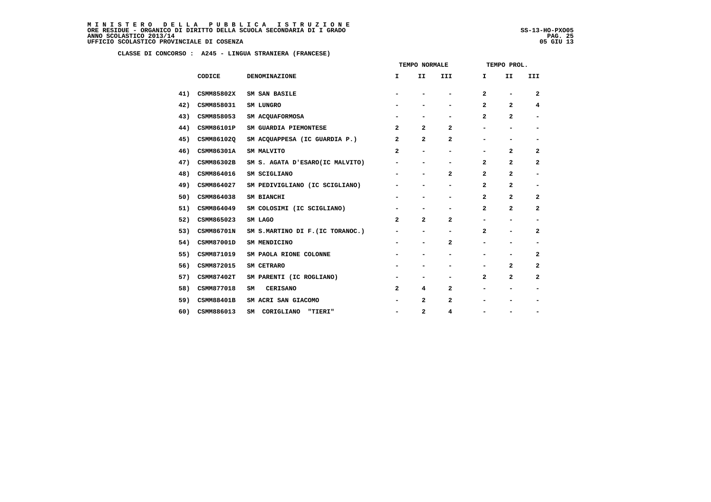|     |                   |                                  |                              | TEMPO NORMALE                |                          |                | TEMPO PROL.                  |                          |
|-----|-------------------|----------------------------------|------------------------------|------------------------------|--------------------------|----------------|------------------------------|--------------------------|
|     | CODICE            | DENOMINAZIONE                    | I.                           | II                           | III                      | I.             | II                           | III                      |
| 41) | CSMM85802X        | SM SAN BASILE                    | $\overline{\phantom{0}}$     |                              | $\overline{\phantom{0}}$ | $\overline{a}$ | $\qquad \qquad \blacksquare$ | $\overline{a}$           |
| 42) | CSMM858031        | SM LUNGRO                        |                              | -                            | -                        | 2              | $\mathbf{2}$                 | 4                        |
| 43) | CSMM858053        | SM ACQUAFORMOSA                  | $\qquad \qquad \blacksquare$ | -                            | -                        | 2              | $\mathbf{2}$                 | $\overline{\phantom{a}}$ |
| 44) | CSMM86101P        | SM GUARDIA PIEMONTESE            | $\mathbf{2}$                 | $\overline{a}$               | $\mathbf{2}$             | -              | $\overline{\phantom{0}}$     | $\blacksquare$           |
| 45) | CSMM86102Q        | SM ACQUAPPESA (IC GUARDIA P.)    | $\mathbf{2}$                 | $\mathbf{2}$                 | 2                        | Ξ.             | $\qquad \qquad \blacksquare$ | -                        |
| 46) | CSMM86301A        | SM MALVITO                       | 2                            | $\qquad \qquad \blacksquare$ | -                        |                | $\overline{a}$               | $\mathbf{2}$             |
| 47) | CSMM86302B        | SM S. AGATA D'ESARO(IC MALVITO)  | -                            | -                            | -                        | $\mathbf{2}$   | $\overline{2}$               | $\mathbf{2}$             |
| 48) | CSMM864016        | SM SCIGLIANO                     | $\qquad \qquad \blacksquare$ | $\qquad \qquad \blacksquare$ | 2                        | 2              | $\overline{2}$               | -                        |
| 49) | CSMM864027        | SM PEDIVIGLIANO (IC SCIGLIANO)   |                              | -                            | -                        | $\mathbf{z}$   | $\overline{a}$               | $\overline{\phantom{a}}$ |
| 50) | CSMM864038        | SM BIANCHI                       | $\qquad \qquad \blacksquare$ | -                            | -                        | $\overline{a}$ | $\overline{2}$               | 2                        |
| 51) | CSMM864049        | SM COLOSIMI (IC SCIGLIANO)       | $\qquad \qquad \blacksquare$ |                              | -                        | 2              | $\overline{a}$               | $\mathbf{2}$             |
| 52) | CSMM865023        | SM LAGO                          | 2                            | 2                            | 2                        | -              | -                            | $\overline{\phantom{a}}$ |
| 53) | CSMM86701N        | SM S.MARTINO DI F. (IC TORANOC.) | -                            | $\qquad \qquad \blacksquare$ | $\overline{\phantom{0}}$ | 2              | $\overline{\phantom{0}}$     | 2                        |
| 54) | CSMM87001D        | SM MENDICINO                     | $\qquad \qquad \blacksquare$ | $\qquad \qquad \blacksquare$ | $\mathbf{2}$             | Ξ.             | -                            | -                        |
| 55) | CSMM871019        | SM PAOLA RIONE COLONNE           | -                            | $\overline{\phantom{0}}$     | -                        | Ξ.             | -                            | 2                        |
| 56) | CSMM872015        | SM CETRARO                       |                              |                              | -                        | -              | $\mathbf{2}$                 | $\mathbf{2}$             |
| 57) | <b>CSMM87402T</b> | SM PARENTI (IC ROGLIANO)         | -                            | -                            | -                        | 2              | $\mathbf{2}$                 | 2                        |
| 58) | CSMM877018        | <b>CERISANO</b><br>SM            | 2                            | 4                            | $\mathbf{2}$             | Ξ.             | $\qquad \qquad \blacksquare$ | $\overline{\phantom{a}}$ |
| 59) | CSMM88401B        | SM ACRI SAN GIACOMO              | $\qquad \qquad \blacksquare$ | $\mathbf{z}$                 | 2                        | -              | $\qquad \qquad \blacksquare$ | -                        |
| 60) | CSMM886013        | SM CORIGLIANO "TIERI"            | $\qquad \qquad \blacksquare$ | $\overline{a}$               | 4                        | -              | -                            | -                        |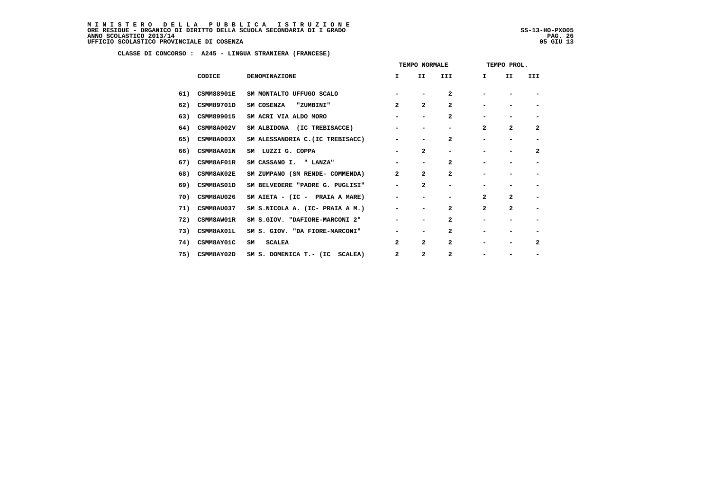MINISTERO DELLA PUBBLICA ISTRUZIONE<br>ORERESIDUE – ORGANICO DI DIRITTO DELLA SCUOLA SECONDARIA DI IGRADO<br>ANNO SCOLASTICO 2013/14 PAG. 26<br>UFFICIO SCOLASTICO PROVINCIALE DI COSENZA (1998)

|     |                   |                                  | TEMPO NORMALE                |                              |                          | TEMPO PROL.  |                          |                          |
|-----|-------------------|----------------------------------|------------------------------|------------------------------|--------------------------|--------------|--------------------------|--------------------------|
|     | CODICE            | <b>DENOMINAZIONE</b>             | I.                           | II                           | III                      | Ι.           | II                       | III                      |
| 61) | <b>CSMM88901E</b> | SM MONTALTO UFFUGO SCALO         |                              |                              | $\mathbf{2}$             |              |                          |                          |
| 62) | <b>CSMM89701D</b> | SM COSENZA<br>"ZUMBINI"          | $\mathbf{2}$                 | $\overline{a}$               | $\mathbf{2}$             |              |                          |                          |
| 63) | CSMM899015        | SM ACRI VIA ALDO MORO            |                              | $\qquad \qquad \blacksquare$ | 2                        |              |                          | $\overline{\phantom{a}}$ |
| 64) | CSMM8A002V        | SM ALBIDONA (IC TREBISACCE)      |                              | -                            | -                        | $\mathbf{z}$ | $\overline{a}$           | $\overline{\mathbf{2}}$  |
| 65) | CSMM8A003X        | SM ALESSANDRIA C. (IC TREBISACC) | -                            |                              | $\mathbf{2}$             |              |                          | $\overline{\phantom{a}}$ |
| 66) | CSMM8AA01N        | SM LUZZI G. COPPA                | $\overline{\phantom{0}}$     | 2                            | $\overline{\phantom{0}}$ | -            | $\overline{\phantom{0}}$ | $\overline{\mathbf{2}}$  |
| 67) | CSMM8AF01R        | SM CASSANO I. " LANZA"           | -                            | $\overline{\phantom{0}}$     | $\mathbf{2}$             | -            |                          | -                        |
| 68) | CSMM8AK02E        | SM ZUMPANO (SM RENDE- COMMENDA)  | $\overline{a}$               | $\overline{a}$               | $\mathbf{2}$             |              |                          |                          |
| 69) | CSMM8AS01D        | SM BELVEDERE "PADRE G. PUGLISI"  | -                            | $\overline{\mathbf{2}}$      | $\overline{\phantom{0}}$ |              |                          | $\overline{\phantom{a}}$ |
| 70) | CSMM8AU026        | SM AIETA - (IC - PRAIA A MARE)   | -                            | -                            | -                        | 2            | $\overline{a}$           | $\overline{\phantom{a}}$ |
| 71) | CSMM8AU037        | SM S.NICOLA A. (IC- PRAIA A M.)  | $\qquad \qquad \blacksquare$ |                              | 2                        | $\mathbf{z}$ | $\overline{a}$           | $\blacksquare$           |
| 72) | CSMM8AW01R        | SM S.GIOV. "DAFIORE-MARCONI 2"   | -                            | $\qquad \qquad \blacksquare$ | 2                        | -            | $\overline{\phantom{0}}$ | $\overline{\phantom{a}}$ |
| 73) | CSMM8AX01L        | SM S. GIOV. "DA FIORE-MARCONI"   | -                            | $\qquad \qquad \blacksquare$ | 2                        |              |                          |                          |
| 74) | CSMM8AY01C        | <b>SCALEA</b><br>SM              | 2                            | $\overline{a}$               | 2                        |              |                          | $\overline{\mathbf{2}}$  |
| 75) | CSMM8AY02D        | SM S. DOMENICA T.- (IC SCALEA)   | 2                            | 2                            | 2                        |              |                          |                          |
|     |                   |                                  |                              |                              |                          |              |                          |                          |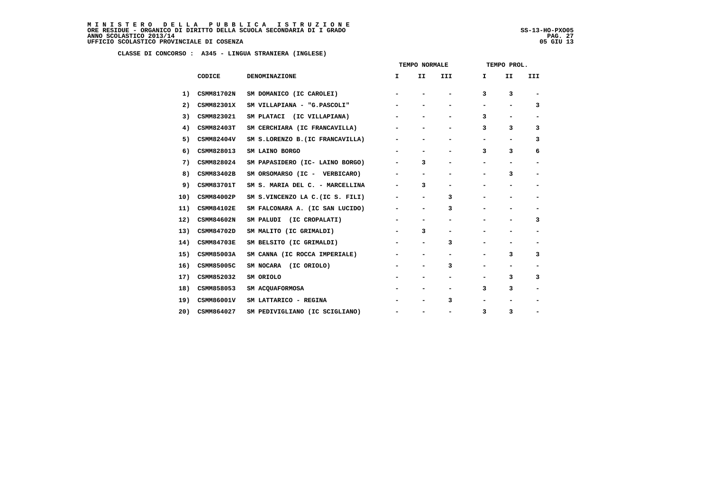MINISTERO DELLA PUBBLICA ISTRUZIONE<br>ORERESIDUE – ORGANICO DI DIRITTO DELLA SCUOLA SECONDARIA DI IGRADO<br>ANNO SCOLASTICO 2013/14 PAG. 27<br>UFFICIO SCOLASTICO PROVINCIALE DI COSENZA (1998)

j

|     |                   |                                  | TEMPO NORMALE            |                          |                          | TEMPO PROL.  |    |                          |  |
|-----|-------------------|----------------------------------|--------------------------|--------------------------|--------------------------|--------------|----|--------------------------|--|
|     | CODICE            | DENOMINAZIONE                    | I.                       | II                       | III                      | $\mathbf{I}$ | II | III                      |  |
| 1)  | CSMM81702N        | SM DOMANICO (IC CAROLEI)         |                          |                          |                          | 3            | 3  |                          |  |
| 2)  | CSMM82301X        | SM VILLAPIANA - "G.PASCOLI"      |                          |                          |                          | -            |    | 3                        |  |
| 3)  | CSMM823021        | SM PLATACI (IC VILLAPIANA)       |                          |                          |                          | 3            | -  | $\overline{\phantom{a}}$ |  |
| 4)  | <b>CSMM82403T</b> | SM CERCHIARA (IC FRANCAVILLA)    |                          |                          |                          | 3            | 3  | 3                        |  |
| 5)  | CSMM82404V        | SM S.LORENZO B. (IC FRANCAVILLA) | -                        | $\overline{\phantom{0}}$ |                          | -            | -  | 3                        |  |
| 6)  | CSMM828013        | SM LAINO BORGO                   |                          | $\overline{\phantom{0}}$ | $\overline{\phantom{0}}$ | 3            | 3  | 6                        |  |
| 7)  | CSMM828024        | SM PAPASIDERO (IC- LAINO BORGO)  |                          | 3                        |                          |              | -  |                          |  |
| 8)  | CSMM83402B        | SM ORSOMARSO (IC - VERBICARO)    | -                        | -                        | -                        | -            | з  | $\overline{\phantom{a}}$ |  |
| 9)  | <b>CSMM83701T</b> | SM S. MARIA DEL C. - MARCELLINA  | -                        | 3                        | $\overline{\phantom{0}}$ | -            | -  | $\overline{\phantom{a}}$ |  |
| 10) | CSMM84002P        | SM S.VINCENZO LA C. (IC S. FILI) | -                        | $\overline{a}$           | 3                        |              |    |                          |  |
| 11) | <b>CSMM84102E</b> | SM FALCONARA A. (IC SAN LUCIDO)  | $\overline{\phantom{a}}$ | -                        | 3                        | -            | -  | $\overline{\phantom{a}}$ |  |
| 12) | CSMM84602N        | SM PALUDI (IC CROPALATI)         | $\overline{\phantom{a}}$ | -                        | -                        | -            | -  | з                        |  |
| 13) | CSMM84702D        | SM MALITO (IC GRIMALDI)          |                          | 3                        |                          |              |    |                          |  |
| 14) | <b>CSMM84703E</b> | SM BELSITO (IC GRIMALDI)         | $\overline{\phantom{a}}$ | -                        | 3                        | -            |    | $\overline{\phantom{a}}$ |  |
| 15) | CSMM85003A        | SM CANNA (IC ROCCA IMPERIALE)    | $\overline{\phantom{a}}$ | -                        | $\overline{\phantom{a}}$ | -            | 3  | 3                        |  |
| 16) | CSMM85005C        | SM NOCARA (IC ORIOLO)            |                          | $\overline{\phantom{0}}$ | 3                        |              |    |                          |  |
| 17) | CSMM852032        | SM ORIOLO                        | -                        | -                        | -                        | -            | 3  | 3                        |  |
| 18) | CSMM858053        | SM ACQUAFORMOSA                  | -                        | -                        | $\overline{\phantom{a}}$ | 3            | 3  | $\overline{\phantom{a}}$ |  |
| 19) | CSMM86001V        | SM LATTARICO - REGINA            |                          |                          | 3                        |              |    |                          |  |
| 20) | CSMM864027        | SM PEDIVIGLIANO (IC SCIGLIANO)   | $\overline{\phantom{a}}$ | -                        | $\overline{\phantom{a}}$ | 3            | 3  | $\overline{\phantom{a}}$ |  |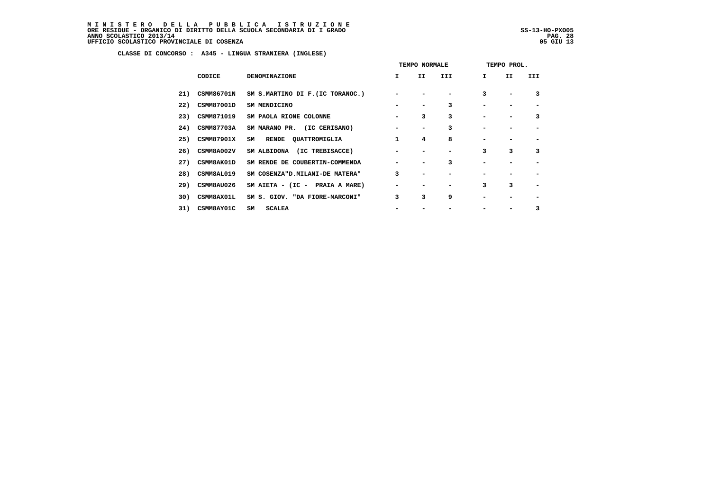MINISTERO DELLA PUBBLICA ISTRUZIONE<br>ORERESIDUE – ORGANICO DI DIRITTO DELLA SCUOLA SECONDARIA DI IGRADO<br>ANNO SCOLASTICO 2013/14 PAG. 28<br>UFFICIO SCOLASTICO PROVINCIALE DI COSENZA (1998)

j

|     |                   |                                  | TEMPO NORMALE |    |     | TEMPO PROL.  |    |     |
|-----|-------------------|----------------------------------|---------------|----|-----|--------------|----|-----|
|     | CODICE            | <b>DENOMINAZIONE</b>             | I.            | II | III | $\mathbf{I}$ | II | III |
| 21) | <b>CSMM86701N</b> | SM S.MARTINO DI F. (IC TORANOC.) |               |    |     | 3            |    | 3   |
| 22) | CSMM87001D        | SM MENDICINO                     |               |    | 3   |              |    |     |
| 23) | <b>CSMM871019</b> | SM PAOLA RIONE COLONNE           |               | 3  | 3   |              | -  | 3   |
| 24) | <b>CSMM87703A</b> | SM MARANO PR. (IC CERISANO)      |               |    | 3   |              |    |     |
| 25) | <b>CSMM87901X</b> | RENDE QUATTROMIGLIA<br>SM        | 1             | 4  | 8   |              |    |     |
| 26) | CSMM8A002V        | SM ALBIDONA (IC TREBISACCE)      |               |    | -   | 3            | 3  | 3   |
| 27) | <b>CSMM8AK01D</b> | SM RENDE DE COUBERTIN-COMMENDA   |               |    | 3   |              |    |     |
| 28) | <b>CSMM8AL019</b> | SM COSENZA"D. MILANI-DE MATERA"  | 3             |    |     |              |    |     |
| 29) | CSMM8AU026        | SM AIETA - (IC - PRAIA A MARE)   |               |    |     | 3            | 3  |     |
| 30) | CSMM8AX01L        | SM S. GIOV. "DA FIORE-MARCONI"   | 3             | 3  | 9   |              |    |     |
| 31) | CSMM8AY01C        | SM<br><b>SCALEA</b>              |               |    |     |              |    | 3   |
|     |                   |                                  |               |    |     |              |    |     |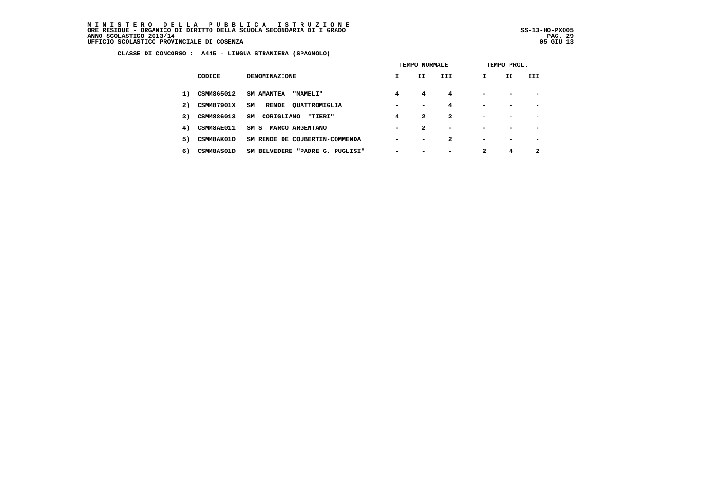MINISTERO DELLA PUBBLICA ISTRUZIONE<br>ORERESIDUE – ORGANICO DI DIRITTO DELLA SCUOLA SECONDARIA DI IGRADO<br>ANNO SCOLASTICO 2013/14 PAG. 29<br>UFFICIO SCOLASTICO PROVINCIALE DI COSENZA (1998)

j

 **CLASSE DI CONCORSO : A445 - LINGUA STRANIERA (SPAGNOLO)**

|    |                   |                                      | TEMPO NORMALE            |                          |                          | TEMPO PROL.              |                          |     |  |
|----|-------------------|--------------------------------------|--------------------------|--------------------------|--------------------------|--------------------------|--------------------------|-----|--|
|    | CODICE            | <b>DENOMINAZIONE</b>                 | $\mathbf{I}$             | II                       | III                      | I.                       | II                       | III |  |
| 1) | CSMM865012        | <b>SM AMANTEA</b><br><b>"MAMELI"</b> | 4                        | 4                        | 4                        | $\overline{\phantom{0}}$ | $\overline{\phantom{0}}$ |     |  |
| 2) | <b>CSMM87901X</b> | SM<br>RENDE QUATTROMIGLIA            | $\overline{\phantom{0}}$ | $\overline{\phantom{0}}$ | 4                        | $\,$                     |                          |     |  |
| 3) | CSMM886013        | CORIGLIANO<br>SM<br>"TIERI"          | 4                        | 2                        | 2                        | $\overline{\phantom{0}}$ |                          |     |  |
| 4) | <b>CSMM8AE011</b> | SM S. MARCO ARGENTANO                | $\overline{\phantom{0}}$ | 2                        | $\overline{\phantom{a}}$ |                          |                          |     |  |
| 5) | CSMM8AK01D        | SM RENDE DE COUBERTIN-COMMENDA       | $\blacksquare$           | $\blacksquare$           | 2                        | $\blacksquare$           |                          |     |  |
| 6) | CSMM8AS01D        | SM BELVEDERE "PADRE G. PUGLISI"      |                          |                          |                          | 2                        | 4                        | 2   |  |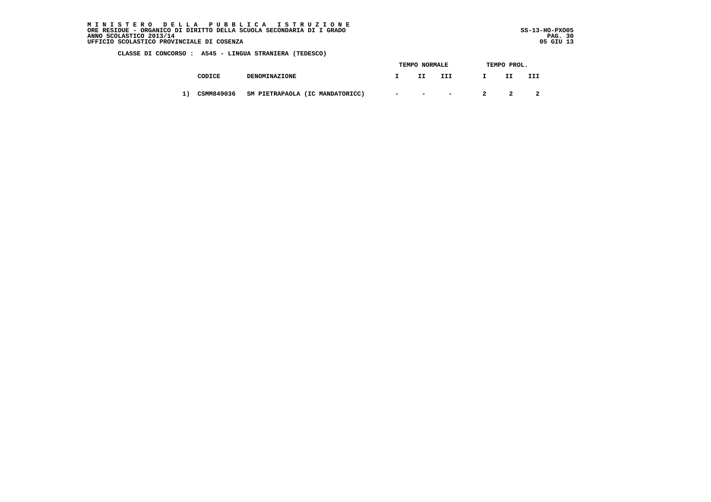MINISTERO DELLA PUBBLICA ISTRUZIONE<br>ORERESIDUE – ORGANICO DI DIRITTO DELLA SCUOLA SECONDARIA DI IGRADO<br>ANNO SCOLASTICO 2013/14 PAG. 30<br>UFFICIO SCOLASTICO PROVINCIALE DI COSENZA (1998)

ļ

 **CLASSE DI CONCORSO : A545 - LINGUA STRANIERA (TEDESCO)**

|    |            |                                 | TEMPO NORMALE                                                                                                   |     | TEMPO PROL. |    |     |  |
|----|------------|---------------------------------|-----------------------------------------------------------------------------------------------------------------|-----|-------------|----|-----|--|
|    | CODICE     | <b>DENOMINAZIONE</b>            | IJ                                                                                                              | III |             | IJ | III |  |
| 1) | CSMM849036 | SM PIETRAPAOLA (IC MANDATORICC) | the contract of the contract of the contract of the contract of the contract of the contract of the contract of |     |             |    |     |  |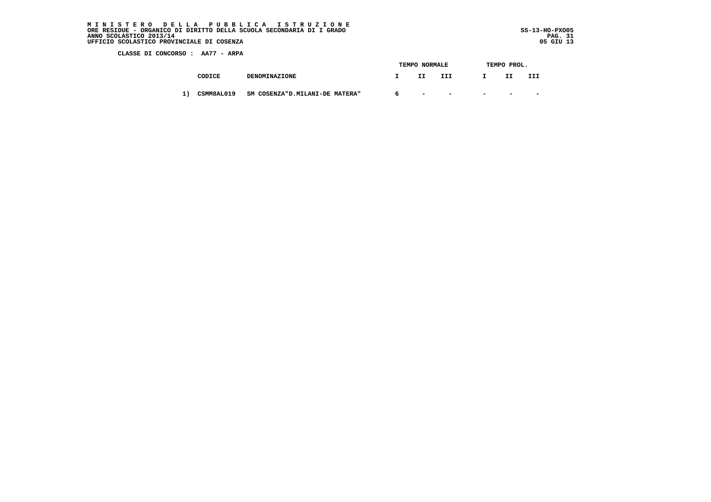MINISTERO DELLA PUBBLICA ISTRUZIONE<br>ORERESIDUE – ORGANICO DI DIRITTO DELLA SCUOLA SECONDARIA DI IGRADO<br>ANNO SCOLASTICO 2013/14 PAG. 31<br>UFFICIO SCOLASTICO PROVINCIALE DI COSENZA (1993)

j

 **CLASSE DI CONCORSO : AA77 - ARPA**

|  |            |                                 |   | TEMPO NORMALE            |                          | TEMPO PROL. |        |        |
|--|------------|---------------------------------|---|--------------------------|--------------------------|-------------|--------|--------|
|  | CODICE     | <b>DENOMINAZIONE</b>            |   | II                       | III                      |             | ---    | III    |
|  | CSMM8AL019 | SM COSENZA"D. MILANI-DE MATERA" | 6 | $\overline{\phantom{0}}$ | $\overline{\phantom{0}}$ | $\sim$      | $\sim$ | $\sim$ |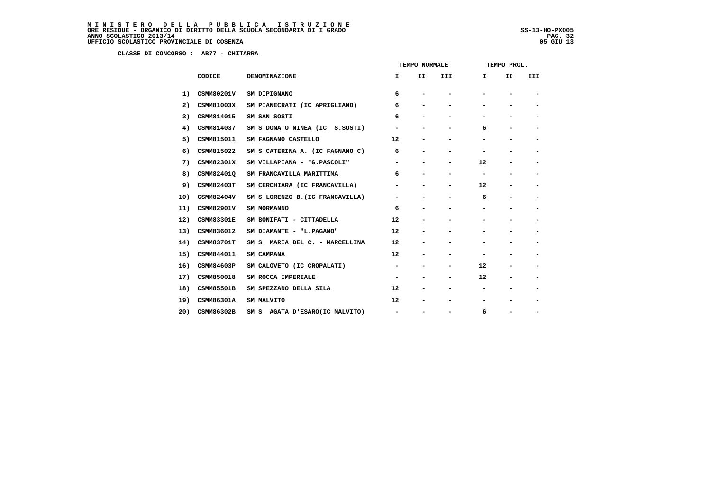**CLASSE DI CONCORSO : AB77 - CHITARRA**

|     |                   |                                  | TEMPO NORMALE            |    |                              | TEMPO PROL. |    |     |  |
|-----|-------------------|----------------------------------|--------------------------|----|------------------------------|-------------|----|-----|--|
|     | CODICE            | DENOMINAZIONE                    | I.                       | II | III                          | I           | II | III |  |
| 1)  | <b>CSMM80201V</b> | SM DIPIGNANO                     | 6                        |    |                              |             |    |     |  |
| 2)  | <b>CSMM81003X</b> | SM PIANECRATI (IC APRIGLIANO)    | 6                        |    |                              |             |    |     |  |
| 3)  | CSMM814015        | SM SAN SOSTI                     | 6                        |    |                              |             |    |     |  |
| 4)  | CSMM814037        | SM S.DONATO NINEA (IC S.SOSTI)   |                          |    |                              | 6           |    |     |  |
| 5)  | CSMM815011        | SM FAGNANO CASTELLO              | $12 \overline{ }$        |    |                              |             |    |     |  |
| 6)  | CSMM815022        | SM S CATERINA A. (IC FAGNANO C)  | 6                        |    |                              |             |    |     |  |
| 7)  | CSMM82301X        | SM VILLAPIANA - "G.PASCOLI"      |                          |    |                              | 12          |    |     |  |
| 8)  | CSMM82401Q        | SM FRANCAVILLA MARITTIMA         | 6                        |    | $\qquad \qquad \blacksquare$ |             |    |     |  |
| 9)  | CSMM82403T        | SM CERCHIARA (IC FRANCAVILLA)    |                          |    |                              | 12          |    |     |  |
| 10) | CSMM82404V        | SM S.LORENZO B. (IC FRANCAVILLA) |                          |    |                              | 6           |    |     |  |
| 11) | <b>CSMM82901V</b> | SM MORMANNO                      | 6                        |    |                              |             |    |     |  |
| 12) | <b>CSMM83301E</b> | SM BONIFATI - CITTADELLA         | 12                       |    |                              |             |    |     |  |
| 13) | CSMM836012        | SM DIAMANTE - "L.PAGANO"         | 12                       |    |                              |             |    | -   |  |
| 14) | <b>CSMM83701T</b> | SM S. MARIA DEL C. - MARCELLINA  | 12                       |    |                              |             |    |     |  |
| 15) | CSMM844011        | SM CAMPANA                       | 12                       |    |                              |             |    |     |  |
| 16) | CSMM84603P        | SM CALOVETO (IC CROPALATI)       | $\overline{\phantom{a}}$ |    | -                            | 12          | -  | -   |  |
| 17) | CSMM850018        | SM ROCCA IMPERIALE               | $\overline{\phantom{a}}$ |    | $\qquad \qquad \blacksquare$ | 12          |    |     |  |
| 18) | <b>CSMM85501B</b> | SM SPEZZANO DELLA SILA           | 12                       |    |                              |             |    |     |  |
| 19) | CSMM86301A        | SM MALVITO                       | 12                       |    |                              |             |    |     |  |
| 20) | CSMM86302B        | SM S. AGATA D'ESARO(IC MALVITO)  | $\overline{\phantom{a}}$ |    |                              | 6           | -  |     |  |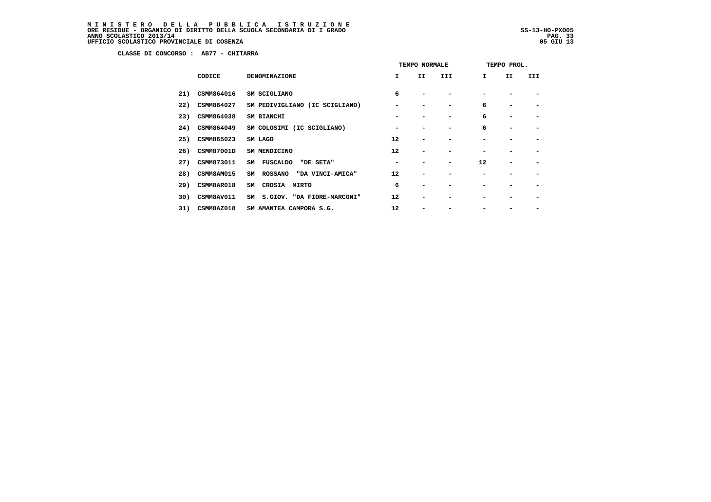MINISTERO DELLA PUBBLICA ISTRUZIONE<br>ORERESIDUE – ORGANICO DI DIRITTO DELLA SCUOLA SECONDARIA DI IGRADO<br>ANNO SCOLASTICO 2013/14 PAG. 33<br>UFFICIO SCOLASTICO PROVINCIALE DI COSENZA (1993)

j

 **CLASSE DI CONCORSO : AB77 - CHITARRA**

|     |                   |                                          | TEMPO NORMALE |    |     | TEMPO PROL. |     |     |
|-----|-------------------|------------------------------------------|---------------|----|-----|-------------|-----|-----|
|     | CODICE            | <b>DENOMINAZIONE</b>                     | I.            | II | III | I.          | II. | III |
| 21) | CSMM864016        | SM SCIGLIANO                             | 6             |    |     |             |     |     |
| 22) | CSMM864027        | SM PEDIVIGLIANO (IC SCIGLIANO)           |               |    |     | 6           |     |     |
| 23) | CSMM864038        | SM BIANCHI                               |               |    |     | 6           |     |     |
| 24) | CSMM864049        | SM COLOSIMI (IC SCIGLIANO)               |               |    |     | 6           |     |     |
| 25) | CSMM865023        | SM LAGO                                  | 12            |    |     |             |     |     |
| 26) | <b>CSMM87001D</b> | SM MENDICINO                             | 12            | -  |     |             |     |     |
| 27) | CSMM873011        | <b>FUSCALDO</b><br>"DE SETA"<br>SM       |               |    |     | 12          |     |     |
| 28) | CSMM8AM015        | <b>ROSSANO</b><br>"DA VINCI-AMICA"<br>SM | 12            | -  |     |             |     |     |
| 29) | CSMM8AR018        | CROSIA MIRTO<br>SM                       | 6             | -  |     |             |     |     |
| 30) | CSMM8AV011        | S.GIOV. "DA FIORE-MARCONI"<br>SM         | 12            |    |     |             |     |     |
| 31) | CSMM8AZ018        | SM AMANTEA CAMPORA S.G.                  | 12            |    |     |             |     |     |
|     |                   |                                          |               |    |     |             |     |     |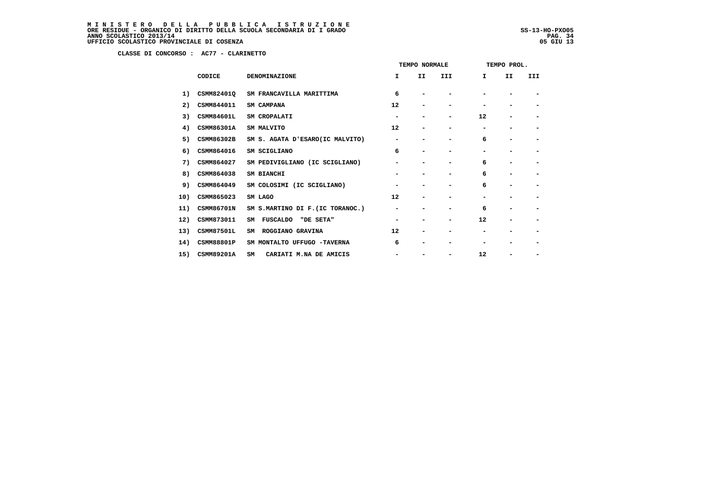**CLASSE DI CONCORSO : AC77 - CLARINETTO**

|     |                   |                                  | TEMPO NORMALE            |                          |                          | TEMPO PROL.              |                |                          |
|-----|-------------------|----------------------------------|--------------------------|--------------------------|--------------------------|--------------------------|----------------|--------------------------|
|     | CODICE            | <b>DENOMINAZIONE</b>             | I.                       | II                       | III                      | I.                       | II             | III                      |
| 1)  | CSMM824010        | SM FRANCAVILLA MARITTIMA         | 6                        |                          |                          |                          |                | -                        |
| 2)  | CSMM844011        | SM CAMPANA                       | 12                       | -                        |                          |                          |                |                          |
| 3)  | <b>CSMM84601L</b> | SM CROPALATI                     | -                        | -                        | $\overline{\phantom{0}}$ | 12                       | -              |                          |
| 4)  | CSMM86301A        | SM MALVITO                       | 12                       | $\overline{\phantom{0}}$ | $\overline{\phantom{0}}$ | -                        | -              | $\overline{\phantom{0}}$ |
| 5)  | CSMM86302B        | SM S. AGATA D'ESARO(IC MALVITO)  | $\overline{\phantom{0}}$ | -                        | $\overline{\phantom{0}}$ | 6                        | -              | $\overline{\phantom{0}}$ |
| 6)  | CSMM864016        | SM SCIGLIANO                     | 6                        | -                        | ۰                        | -                        |                | -                        |
| 7)  | CSMM864027        | SM PEDIVIGLIANO (IC SCIGLIANO)   | $\overline{\phantom{0}}$ | -                        | $\overline{\phantom{0}}$ | 6                        | $\blacksquare$ | $\overline{\phantom{0}}$ |
| 8)  | CSMM864038        | SM BIANCHI                       |                          |                          |                          | 6                        | -              |                          |
| 9)  | CSMM864049        | SM COLOSIMI (IC SCIGLIANO)       | $\overline{\phantom{0}}$ | -                        |                          | 6                        | -              | $\overline{\phantom{0}}$ |
| 10) | CSMM865023        | SM LAGO                          | 12                       | -                        | $\overline{\phantom{0}}$ | $\overline{\phantom{0}}$ | -              | -                        |
| 11) | CSMM86701N        | SM S.MARTINO DI F. (IC TORANOC.) | -                        | -                        | ۰                        | 6                        | -              | -                        |
| 12) | CSMM873011        | "DE SETA"<br>FUSCALDO<br>SM      | $\overline{\phantom{0}}$ | -                        | $\overline{\phantom{a}}$ | 12                       | -              | $\overline{\phantom{a}}$ |
| 13) | <b>CSMM87501L</b> | ROGGIANO GRAVINA<br>SM           | 12                       | -                        |                          |                          | -              | $\overline{\phantom{0}}$ |
| 14) | CSMM88801P        | SM MONTALTO UFFUGO -TAVERNA      | 6                        | -                        |                          |                          |                |                          |
| 15) | CSMM89201A        | SM<br>CARIATI M.NA DE AMICIS     |                          |                          | -                        | 12                       |                | -                        |
|     |                   |                                  |                          |                          |                          |                          |                |                          |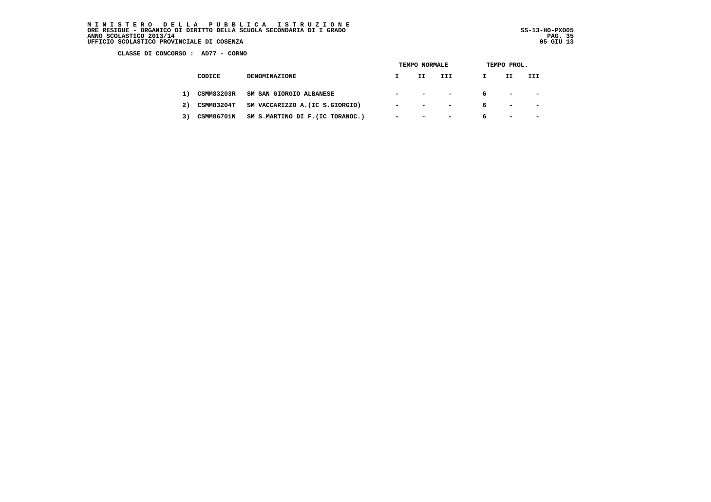MINISTERO DELLA PUBBLICA ISTRUZIONE<br>ORERESIDUE – ORGANICO DI DIRITTO DELLA SCUOLA SECONDARIA DI IGRADO<br>ANNO SCOLASTICO 2013/14 PAG. 35<br>UFFICIO SCOLASTICO PROVINCIALE DI COSENZA (1998)

j

 **CLASSE DI CONCORSO : AD77 - CORNO**

|    |                   |                                  | TEMPO NORMALE  |                                     |                          | TEMPO PROL. |                                           |                          |  |
|----|-------------------|----------------------------------|----------------|-------------------------------------|--------------------------|-------------|-------------------------------------------|--------------------------|--|
|    | CODICE            | <b>DENOMINAZIONE</b>             |                | IJ                                  | III                      | I           | II                                        | III                      |  |
| 1) | <b>CSMM83203R</b> | SM SAN GIORGIO ALBANESE          |                | the contract of the contract of the | $-$                      | 6           | the company of the company of the company |                          |  |
| 2) | <b>CSMM83204T</b> | SM VACCARIZZO A. (IC S.GIORGIO)  | $\sim$         | and the state of the state          | $\overline{\phantom{0}}$ | 6           | $\sim$                                    | <b>Service Contracts</b> |  |
| 3) | <b>CSMM86701N</b> | SM S.MARTINO DI F. (IC TORANOC.) | $\blacksquare$ | and the company of the company      | $\sim$                   | 6           | $\sim$                                    | <b>Service Contracts</b> |  |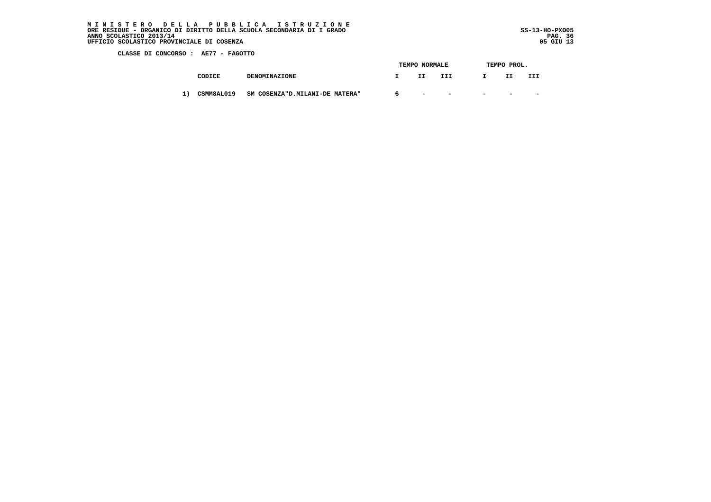MINISTERO DELLA PUBBLICA ISTRUZIONE<br>ORERESIDUE – ORGANICO DI DIRITTO DELLA SCUOLA SECONDARIA DI IGRADO<br>ANNO SCOLASTICO 2013/14 PAG. 36<br>UFFICIO SCOLASTICO PROVINCIALE DI COSENZA (1998)

ļ

 **CLASSE DI CONCORSO : AE77 - FAGOTTO**

|  |            |                                 |   | TEMPO NORMALE            |                          | TEMPO PROL. |        |                          |  |
|--|------------|---------------------------------|---|--------------------------|--------------------------|-------------|--------|--------------------------|--|
|  | CODICE     | <b>DENOMINAZIONE</b>            |   | II.                      | III                      |             | IJ     | III                      |  |
|  | CSMM8AL019 | SM COSENZA"D. MILANI-DE MATERA" | 6 | $\overline{\phantom{0}}$ | $\overline{\phantom{0}}$ | $-$         | $\sim$ | $\overline{\phantom{0}}$ |  |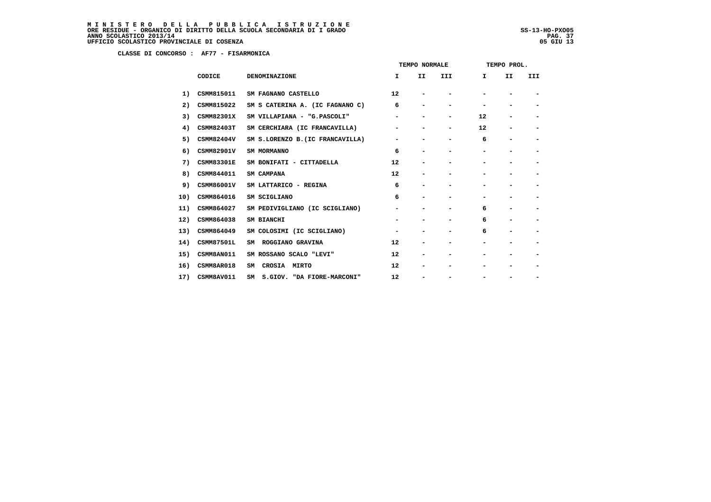**CLASSE DI CONCORSO : AF77 - FISARMONICA**

|     |                   |                                  | TEMPO NORMALE |                          |                          | TEMPO PROL. |                          |                          |
|-----|-------------------|----------------------------------|---------------|--------------------------|--------------------------|-------------|--------------------------|--------------------------|
|     | CODICE            | <b>DENOMINAZIONE</b>             | I.            | II.                      | III                      | I.          | II                       | <b>III</b>               |
| 1)  | CSMM815011        | SM FAGNANO CASTELLO              | 12            |                          |                          |             |                          |                          |
| 2)  | CSMM815022        | SM S CATERINA A. (IC FAGNANO C)  | 6             | -                        | -                        |             |                          |                          |
| 3)  | CSMM82301X        | SM VILLAPIANA - "G. PASCOLI"     | -             | -                        | $\overline{\phantom{a}}$ | 12          |                          | $\overline{\phantom{a}}$ |
| 4)  | CSMM82403T        | SM CERCHIARA (IC FRANCAVILLA)    | -             |                          | $\overline{\phantom{a}}$ | 12          |                          | $\overline{\phantom{a}}$ |
| 5)  | CSMM82404V        | SM S.LORENZO B. (IC FRANCAVILLA) | -             |                          | -                        | 6           | $\overline{\phantom{0}}$ | $\overline{\phantom{a}}$ |
| 6)  | CSMM82901V        | SM MORMANNO                      | 6             | $\overline{\phantom{0}}$ |                          |             |                          |                          |
| 7)  | <b>CSMM83301E</b> | SM BONIFATI - CITTADELLA         | 12            | -                        |                          |             |                          | $\overline{\phantom{0}}$ |
| 8)  | CSMM844011        | SM CAMPANA                       | 12            | -                        | -                        |             |                          | $\overline{\phantom{0}}$ |
| 9)  | CSMM86001V        | SM LATTARICO - REGINA            | 6             |                          |                          |             |                          | -                        |
| 10) | CSMM864016        | SM SCIGLIANO                     | 6             | -                        |                          |             |                          | $\overline{\phantom{a}}$ |
| 11) | CSMM864027        | SM PEDIVIGLIANO (IC SCIGLIANO)   | -             | -                        | -                        | 6           |                          |                          |
| 12) | CSMM864038        | SM BIANCHI                       |               |                          |                          | 6           |                          |                          |
| 13) | CSMM864049        | SM COLOSIMI (IC SCIGLIANO)       | -             |                          |                          | 6           |                          |                          |
| 14) | <b>CSMM87501L</b> | SM ROGGIANO GRAVINA              | 12            | -                        |                          |             |                          |                          |
| 15) | CSMM8AN011        | SM ROSSANO SCALO "LEVI"          | 12            | -                        |                          |             |                          |                          |
| 16) | CSMM8AR018        | CROSIA MIRTO<br>SM               | 12            | -                        |                          |             |                          |                          |
| 17) | CSMM8AV011        | S.GIOV. "DA FIORE-MARCONI"<br>SM | 12            | -                        |                          |             |                          |                          |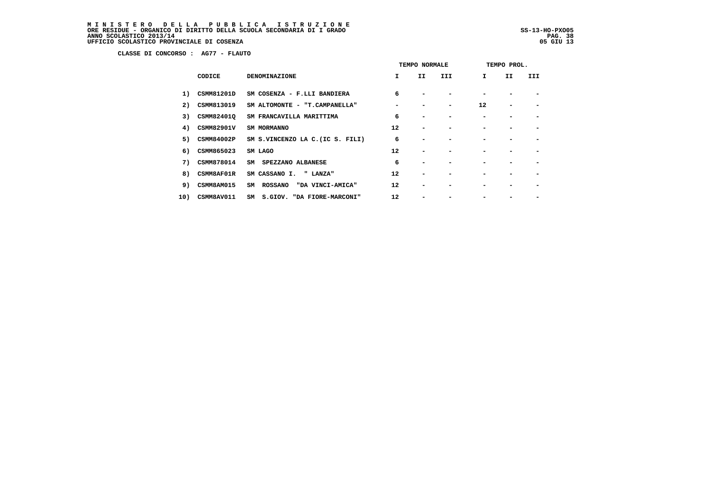MINISTERO DELLA PUBBLICA ISTRUZIONE<br>ORERESIDUE – ORGANICO DI DIRITTO DELLA SCUOLA SECONDARIA DI IGRADO<br>ANNO SCOLASTICO 2013/14 PAG. 38<br>UFFICIO SCOLASTICO PROVINCIALE DI COSENZA (1993)

j

 **CLASSE DI CONCORSO : AG77 - FLAUTO**

|     |                   |                                          | TEMPO NORMALE |                          |     | TEMPO PROL.  |    |     |
|-----|-------------------|------------------------------------------|---------------|--------------------------|-----|--------------|----|-----|
|     | CODICE            | <b>DENOMINAZIONE</b>                     | I.            | II.                      | III | $\mathbf{I}$ | II | III |
| 1)  | CSMM81201D        | SM COSENZA - F.LLI BANDIERA              | 6             |                          |     |              |    |     |
| 2)  | CSMM813019        | SM ALTOMONTE - "T.CAMPANELLA"            |               |                          | -   | 12           |    |     |
| 3)  | CSMM82401Q        | SM FRANCAVILLA MARITTIMA                 | 6             |                          |     |              |    |     |
| 4)  | <b>CSMM82901V</b> | SM MORMANNO                              | 12            | $\overline{\phantom{0}}$ |     |              |    |     |
|     | 5) CSMM84002P     | SM S.VINCENZO LA C. (IC S. FILI)         | 6             |                          |     |              |    |     |
|     | 6) CSMM865023     | SM LAGO                                  | 12            |                          |     |              |    |     |
|     | 7) CSMM878014     | SM SPEZZANO ALBANESE                     | 6             |                          |     |              |    |     |
| 8)  | <b>CSMM8AF01R</b> | SM CASSANO I.<br>" LANZA"                | 12            |                          |     |              |    |     |
| 9)  | CSMM8AM015        | <b>ROSSANO</b><br>"DA VINCI-AMICA"<br>SM | 12            |                          |     |              |    |     |
| 10) | CSMM8AV011        | S.GIOV. "DA FIORE-MARCONI"<br>SM         | 12            |                          |     |              |    |     |
|     |                   |                                          |               |                          |     |              |    |     |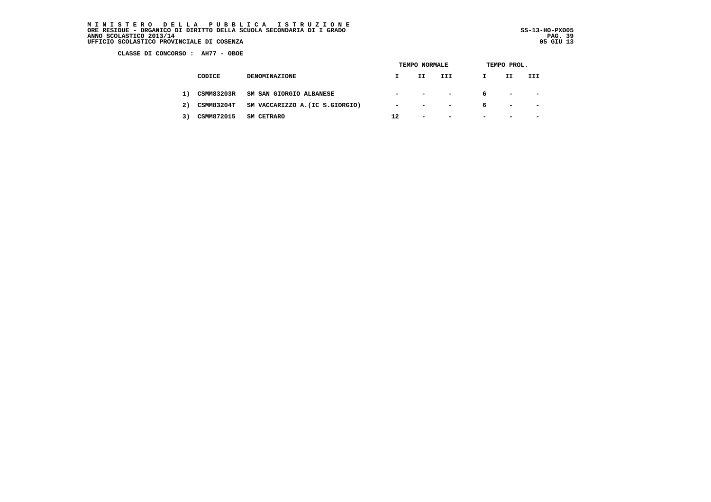MINISTERO DELLA PUBBLICA ISTRUZIONE<br>ORERESIDUE – ORGANICO DI DIRITTO DELLA SCUOLA SECONDARIA DI IGRADO<br>ANNO SCOLASTICO 2013/14 PAG. 39<br>UFFICIO SCOLASTICO PROVINCIALE DI COSENZA (1993)

j

 **CLASSE DI CONCORSO : AH77 - OBOE**

|    |                   |                                 | <b>TEMPO NORMALE</b>     |                                           |                          | TEMPO PROL.              |                            |                          |  |
|----|-------------------|---------------------------------|--------------------------|-------------------------------------------|--------------------------|--------------------------|----------------------------|--------------------------|--|
|    | CODICE            | <b>DENOMINAZIONE</b>            |                          | II.                                       | III                      | I                        | IJ                         | III                      |  |
| 1) | <b>CSMM83203R</b> | SM SAN GIORGIO ALBANESE         |                          | $\sim$ $\sim$ $\sim$ $\sim$ $\sim$ $\sim$ |                          | 6                        | the company of the company |                          |  |
| 2) | <b>CSMM83204T</b> | SM VACCARIZZO A. (IC S.GIORGIO) | $\overline{\phantom{a}}$ | <b>Contract Contract Contract</b>         | $\overline{\phantom{0}}$ | 6                        | $\overline{\phantom{a}}$   | $\overline{\phantom{0}}$ |  |
| 3) | CSMM872015        | <b>SM CETRARO</b>               | 12                       | $\blacksquare$                            | $\overline{\phantom{0}}$ | $\overline{\phantom{0}}$ | $\overline{\phantom{0}}$   | $\overline{\phantom{0}}$ |  |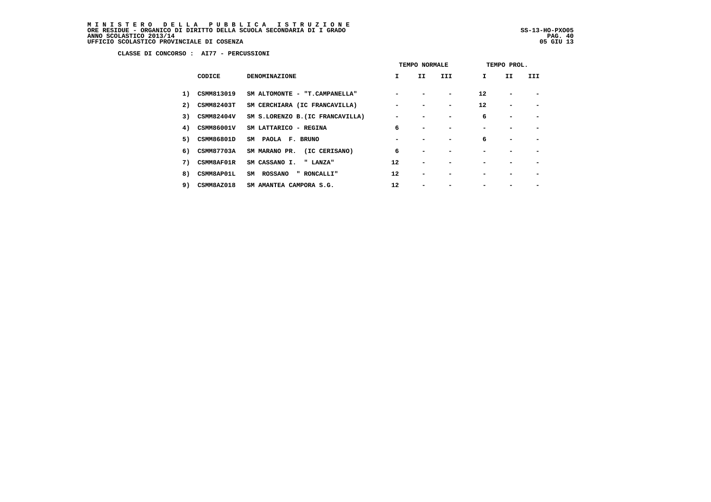MINISTERO DELLA PUBBLICA ISTRUZIONE<br>ORERESIDUE – ORGANICO DI DIRITTO DELLA SCUOLA SECONDARIA DI IGRADO<br>ANNO SCOLASTICO 2013/14 PAG. 40<br>UFFICIO SCOLASTICO PROVINCIALE DI COSENZA (1999)

ļ

 **CLASSE DI CONCORSO : AI77 - PERCUSSIONI**

|    |                   |                                  | TEMPO NORMALE |    |                          | TEMPO PROL. |    |     |
|----|-------------------|----------------------------------|---------------|----|--------------------------|-------------|----|-----|
|    | CODICE            | <b>DENOMINAZIONE</b>             | I.            | II | III                      | Ι.          | II | III |
| 1) | CSMM813019        | SM ALTOMONTE - "T.CAMPANELLA"    |               |    | $\overline{\phantom{0}}$ | 12          |    |     |
| 2) | CSMM82403T        | SM CERCHIARA (IC FRANCAVILLA)    |               |    | -                        | 12          | -  |     |
| 3) | CSMM82404V        | SM S.LORENZO B. (IC FRANCAVILLA) |               |    |                          | 6           |    |     |
| 4) | <b>CSMM86001V</b> | SM LATTARICO - REGINA            | 6             |    |                          |             |    |     |
| 5) | CSMM86801D        | SM PAOLA F. BRUNO                |               |    |                          | 6           |    |     |
| 6) | <b>CSMM87703A</b> | SM MARANO PR.<br>(IC CERISANO)   | 6             |    |                          |             |    |     |
| 7) | CSMM8AF01R        | SM CASSANO I.<br>" LANZA"        | 12            |    |                          |             |    |     |
| 8) | CSMM8AP01L        | SM ROSSANO<br>" RONCALLI"        | 12            |    |                          |             |    |     |
| 9) | CSMM8AZ018        | SM AMANTEA CAMPORA S.G.          | 12            |    |                          |             |    |     |
|    |                   |                                  |               |    |                          |             |    |     |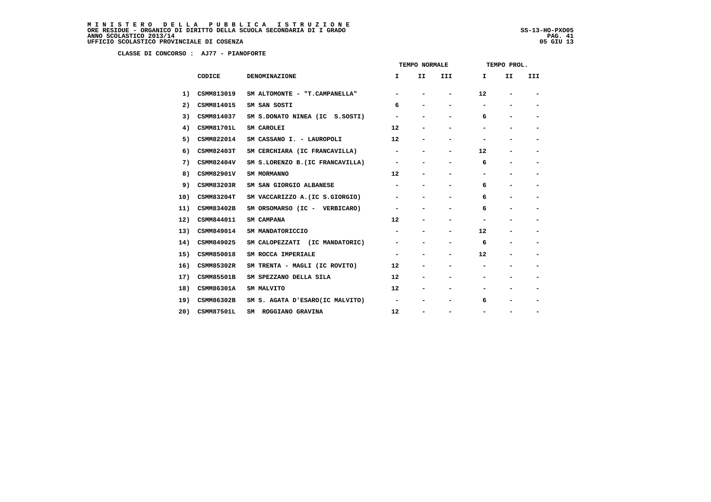# MINISTERO DELLA PUBBLICA ISTRUZIONE<br>ORERESIDUE – ORGANICO DI DIRITTO DELLA SCUOLA SECONDARIA DI IGRADO<br>ANNO SCOLASTICO 2013/14 PAG. 41<br>UFFICIO SCOLASTICO PROVINCIALE DI COSENZA (1999)

j

 **CLASSE DI CONCORSO : AJ77 - PIANOFORTE**

|     |                   |                                  | TEMPO NORMALE                |                              |                          | TEMPO PROL.                  |                              |                          |  |
|-----|-------------------|----------------------------------|------------------------------|------------------------------|--------------------------|------------------------------|------------------------------|--------------------------|--|
|     | CODICE            | <b>DENOMINAZIONE</b>             | I.                           | II.                          | III                      | I.                           | II                           | <b>III</b>               |  |
| 1)  | CSMM813019        | SM ALTOMONTE - "T.CAMPANELLA"    |                              |                              |                          | 12                           |                              |                          |  |
| 2)  | CSMM814015        | SM SAN SOSTI                     | 6                            |                              | -                        |                              |                              | $\overline{\phantom{a}}$ |  |
| 3)  | CSMM814037        | SM S.DONATO NINEA (IC S.SOSTI)   | -                            |                              | $\overline{\phantom{0}}$ | 6                            |                              | $\overline{\phantom{a}}$ |  |
| 4)  | <b>CSMM81701L</b> | SM CAROLEI                       | 12                           |                              |                          |                              |                              | -                        |  |
| 5)  | CSMM822014        | SM CASSANO I. - LAUROPOLI        | 12                           |                              | -                        |                              |                              | $\overline{\phantom{a}}$ |  |
| 6)  | <b>CSMM82403T</b> | SM CERCHIARA (IC FRANCAVILLA)    | -                            | -                            | -                        | 12                           | -                            | $\overline{\phantom{a}}$ |  |
| 7)  | CSMM82404V        | SM S.LORENZO B. (IC FRANCAVILLA) |                              |                              |                          | 6                            |                              | $\overline{\phantom{0}}$ |  |
| 8)  | CSMM82901V        | SM MORMANNO                      | 12                           |                              |                          |                              |                              | $\overline{\phantom{a}}$ |  |
| 9)  | CSMM83203R        | SM SAN GIORGIO ALBANESE          | $\qquad \qquad \blacksquare$ |                              | $\overline{\phantom{0}}$ | 6                            | $\overline{\phantom{0}}$     | $\overline{\phantom{a}}$ |  |
| 10) | <b>CSMM83204T</b> | SM VACCARIZZO A. (IC S.GIORGIO)  |                              |                              |                          | 6                            |                              |                          |  |
| 11) | <b>CSMM83402B</b> | SM ORSOMARSO (IC - VERBICARO)    | -                            | $\qquad \qquad \blacksquare$ | -                        | 6                            | $\qquad \qquad \blacksquare$ | $\overline{\phantom{a}}$ |  |
| 12) | CSMM844011        | SM CAMPANA                       | 12                           | -                            | -                        | $\qquad \qquad \blacksquare$ | $\overline{\phantom{0}}$     | $\overline{\phantom{a}}$ |  |
| 13) | CSMM849014        | SM MANDATORICCIO                 |                              |                              | -                        | 12                           |                              | -                        |  |
| 14) | CSMM849025        | SM CALOPEZZATI (IC MANDATORIC)   | -                            |                              | -                        | 6                            | -                            | $\overline{\phantom{a}}$ |  |
| 15) | CSMM850018        | SM ROCCA IMPERIALE               | $\qquad \qquad \blacksquare$ | -                            | -                        | 12                           | $\qquad \qquad \blacksquare$ | $\overline{\phantom{a}}$ |  |
| 16) | CSMM85302R        | SM TRENTA - MAGLI (IC ROVITO)    | 12                           |                              |                          |                              |                              | -                        |  |
| 17) | <b>CSMM85501B</b> | SM SPEZZANO DELLA SILA           | 12                           | -                            |                          |                              |                              | $\overline{\phantom{a}}$ |  |
| 18) | CSMM86301A        | SM MALVITO                       | 12                           |                              |                          |                              |                              | $\overline{\phantom{a}}$ |  |
| 19) | CSMM86302B        | SM S. AGATA D'ESARO(IC MALVITO)  | -                            |                              |                          | 6                            |                              | -                        |  |
| 20) | <b>CSMM87501L</b> | ROGGIANO GRAVINA<br>SM           | 12                           |                              | -                        |                              |                              | -                        |  |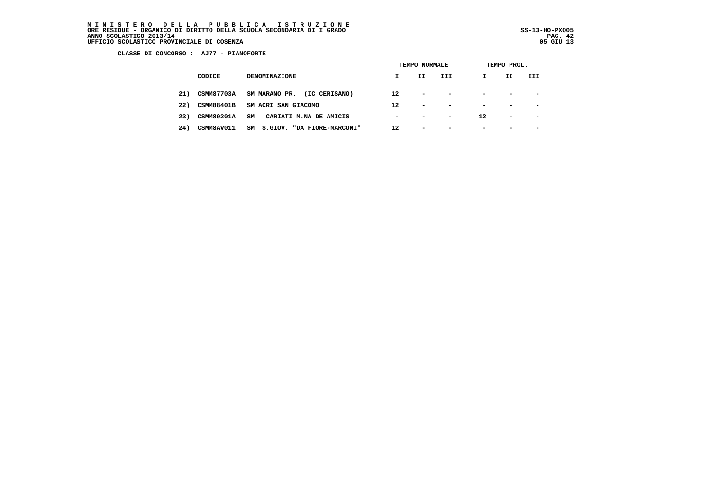MINISTERO DELLA PUBBLICA ISTRUZIONE<br>ORERESIDUE – ORGANICO DI DIRITTO DELLA SCUOLA SECONDARIA DI IGRADO<br>ANNO SCOLASTICO 2013/14 PAG. 42<br>UFFICIO SCOLASTICO PROVINCIALE DI COSENZA (1998)

j

 **CLASSE DI CONCORSO : AJ77 - PIANOFORTE**

|     |                   |                                  | TEMPO NORMALE            |                          |                          | TEMPO PROL.              |                          |                          |  |  |
|-----|-------------------|----------------------------------|--------------------------|--------------------------|--------------------------|--------------------------|--------------------------|--------------------------|--|--|
|     | CODICE            | <b>DENOMINAZIONE</b>             |                          | II                       | III                      | I.                       | II                       | III                      |  |  |
| 21) | <b>CSMM87703A</b> | SM MARANO PR.<br>(IC CERISANO)   | 12                       | $\overline{\phantom{0}}$ | $\overline{\phantom{0}}$ | $\overline{\phantom{0}}$ | $\overline{\phantom{a}}$ | $\overline{\phantom{a}}$ |  |  |
| 22) | <b>CSMM88401B</b> | SM ACRI SAN GIACOMO              | $12 \overline{ }$        | $\overline{\phantom{0}}$ | $\overline{\phantom{0}}$ | $\overline{\phantom{0}}$ | $\overline{\phantom{0}}$ | $\overline{\phantom{0}}$ |  |  |
| 23) | <b>CSMM89201A</b> | SM<br>CARIATI M.NA DE AMICIS     | $\overline{\phantom{a}}$ | $\sim$                   | -                        | 12                       | $\overline{\phantom{a}}$ | $\overline{\phantom{0}}$ |  |  |
| 24) | CSMM8AV011        | S.GIOV. "DA FIORE-MARCONI"<br>SM | 12                       | $\overline{\phantom{0}}$ | -                        | $\overline{\phantom{a}}$ | $\overline{\phantom{0}}$ | $\overline{\phantom{0}}$ |  |  |
|     |                   |                                  |                          |                          |                          |                          |                          |                          |  |  |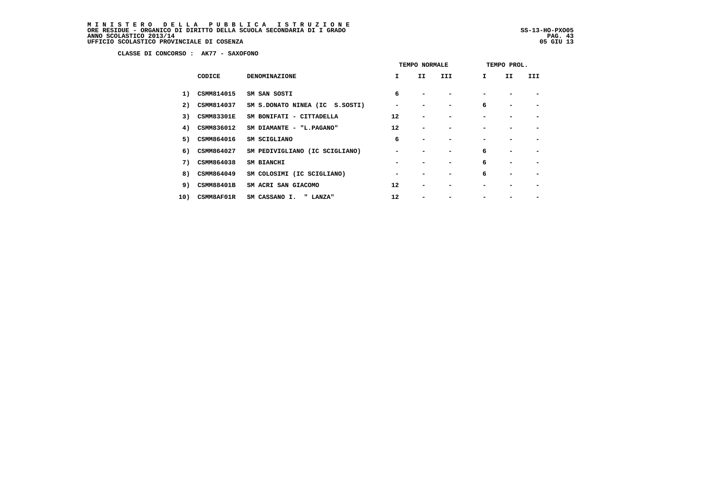MINISTERO DELLA PUBBLICA ISTRUZIONE<br>ORERESIDUE – ORGANICO DI DIRITTO DELLA SCUOLA SECONDARIA DI IGRADO<br>ANNO SCOLASTICO 2013/14 PAG. 43<br>UFFICIO SCOLASTICO PROVINCIALE DI COSENZA (1998)

j

 **CLASSE DI CONCORSO : AK77 - SAXOFONO**

|     |        |                   |                                | TEMPO NORMALE |     |     | TEMPO PROL.  |    |     |  |
|-----|--------|-------------------|--------------------------------|---------------|-----|-----|--------------|----|-----|--|
|     | CODICE |                   | <b>DENOMINAZIONE</b>           | $\mathbf{I}$  | II. | III | $\mathbf{I}$ | II | III |  |
|     | 1)     | CSMM814015        | SM SAN SOSTI                   | 6             |     |     |              |    |     |  |
|     | 2)     | <b>CSMM814037</b> | SM S.DONATO NINEA (IC S.SOSTI) |               |     |     | 6            |    |     |  |
|     | 3)     | <b>CSMM83301E</b> | SM BONIFATI - CITTADELLA       | 12            |     |     |              |    |     |  |
|     | 4)     | CSMM836012        | SM DIAMANTE - "L.PAGANO"       | 12            |     |     |              |    |     |  |
|     | 5)     | <b>CSMM864016</b> | SM SCIGLIANO                   | 6             |     |     |              |    |     |  |
|     | 6)     | <b>CSMM864027</b> | SM PEDIVIGLIANO (IC SCIGLIANO) |               |     |     | 6            |    |     |  |
|     | 7)     | CSMM864038        | SM BIANCHI                     |               |     |     | 6            |    |     |  |
|     | 8)     | <b>CSMM864049</b> | SM COLOSIMI (IC SCIGLIANO)     |               |     |     | 6            |    |     |  |
|     | 9)     | CSMM88401B        | SM ACRI SAN GIACOMO            | 12            |     |     |              |    |     |  |
| 10) |        | CSMM8AF01R        | SM CASSANO I.<br>" LANZA"      | 12            |     |     |              |    |     |  |
|     |        |                   |                                |               |     |     |              |    |     |  |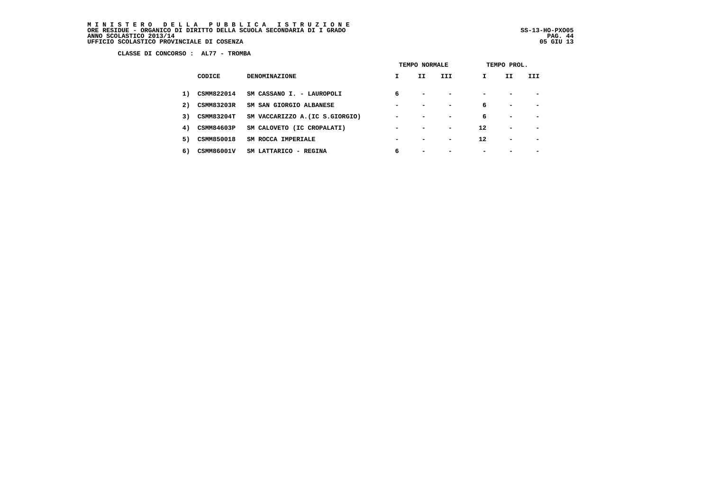MINISTERO DELLA PUBBLICA ISTRUZIONE<br>ORERESIDUE – ORGANICO DI DIRITTO DELLA SCUOLA SECONDARIA DI IGRADO<br>ANNO SCOLASTICO 2013/14 PAG. 44<br>UFFICIO SCOLASTICO PROVINCIALE DI COSENZA (1999)

j

 **CLASSE DI CONCORSO : AL77 - TROMBA**

|    |                   |                                 | TEMPO NORMALE            |                          |                          | TEMPO PROL.    |                          |                          |  |  |
|----|-------------------|---------------------------------|--------------------------|--------------------------|--------------------------|----------------|--------------------------|--------------------------|--|--|
|    | CODICE            | <b>DENOMINAZIONE</b>            | I.                       | II.                      | III                      | I              | II.                      | III                      |  |  |
| 1) | <b>CSMM822014</b> | SM CASSANO I. - LAUROPOLI       | 6                        | $\overline{\phantom{0}}$ | $\overline{\phantom{0}}$ | $\blacksquare$ |                          |                          |  |  |
| 2) | <b>CSMM83203R</b> | SM SAN GIORGIO ALBANESE         | $\,$                     | $\overline{\phantom{0}}$ | $\blacksquare$           | 6              | $\overline{\phantom{0}}$ | $\overline{\phantom{0}}$ |  |  |
| 3) | <b>CSMM83204T</b> | SM VACCARIZZO A. (IC S.GIORGIO) | $\overline{\phantom{a}}$ |                          | -                        | 6              | $\overline{\phantom{a}}$ |                          |  |  |
| 4) | <b>CSMM84603P</b> | SM CALOVETO (IC CROPALATI)      | $\overline{\phantom{a}}$ |                          | $\overline{\phantom{0}}$ | 12             | $\overline{\phantom{a}}$ |                          |  |  |
| 5) | <b>CSMM850018</b> | SM ROCCA IMPERIALE              | $\overline{\phantom{a}}$ |                          | $\overline{\phantom{0}}$ | 12             | $\overline{\phantom{0}}$ |                          |  |  |
| 6) | CSMM86001V        | SM LATTARICO - REGINA           | 6                        |                          |                          | -              |                          |                          |  |  |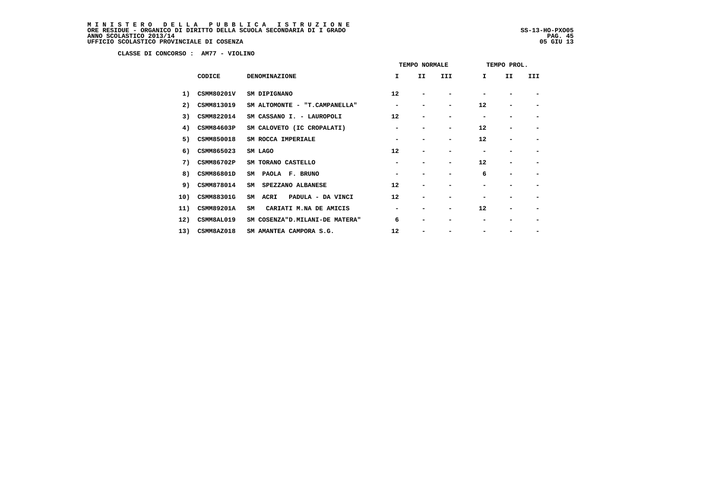# MINISTERO DELLA PUBBLICA ISTRUZIONE<br>ORERESIDUE – ORGANICO DI DIRITTO DELLA SCUOLA SECONDARIA DI IGRADO<br>ANNO SCOLASTICO 2013/14 PAG. 45<br>UFFICIO SCOLASTICO PROVINCIALE DI COSENZA (1999)

j

 **CLASSE DI CONCORSO : AM77 - VIOLINO**

| III                      | I  | II | III |
|--------------------------|----|----|-----|
|                          |    |    |     |
|                          |    |    |     |
|                          | 12 |    |     |
|                          |    |    |     |
| $\overline{\phantom{0}}$ | 12 |    |     |
|                          | 12 |    |     |
|                          |    |    |     |
| $\overline{\phantom{0}}$ | 12 |    |     |
|                          | 6  |    |     |
|                          |    |    |     |
|                          |    |    |     |
| $\overline{\phantom{0}}$ | 12 |    |     |
|                          |    |    |     |
|                          |    |    |     |
|                          |    |    |     |